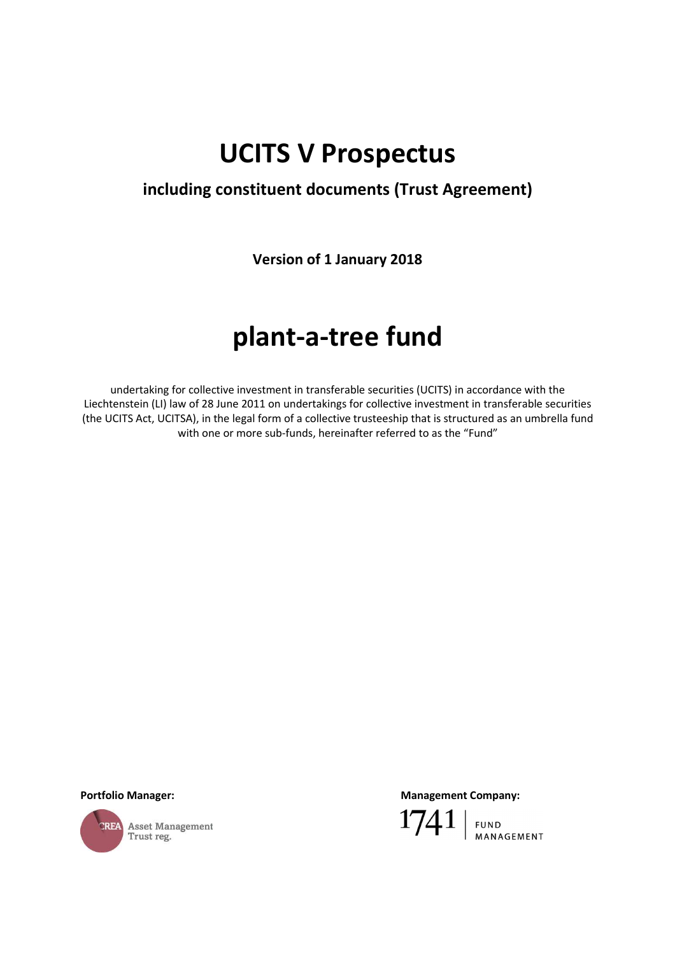# **UCITS V Prospectus**

# **including constituent documents (Trust Agreement)**

**Version of 1 January 2018** 

# **plant-a-tree fund**

undertaking for collective investment in transferable securities (UCITS) in accordance with the Liechtenstein (LI) law of 28 June 2011 on undertakings for collective investment in transferable securities (the UCITS Act, UCITSA), in the legal form of a collective trusteeship that is structured as an umbrella fund with one or more sub-funds, hereinafter referred to as the "Fund"



Portfolio Manager: **Management Company: Management Company: Management Company:** 

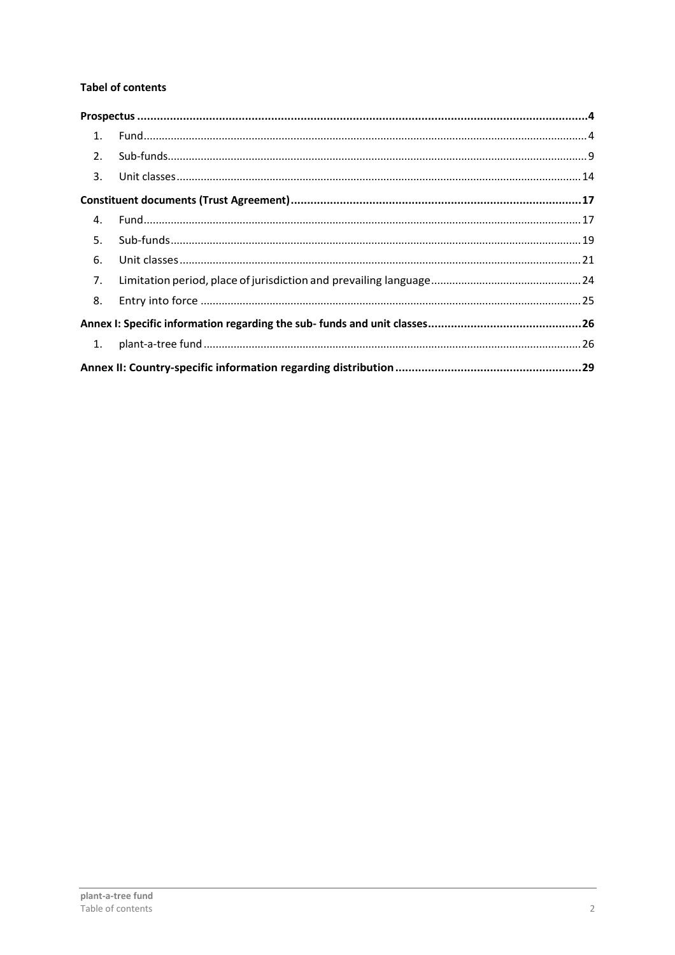# **Tabel of contents**

| 2. |  |
|----|--|
| 3. |  |
|    |  |
| 4. |  |
| 5. |  |
| 6. |  |
| 7. |  |
| 8. |  |
|    |  |
|    |  |
|    |  |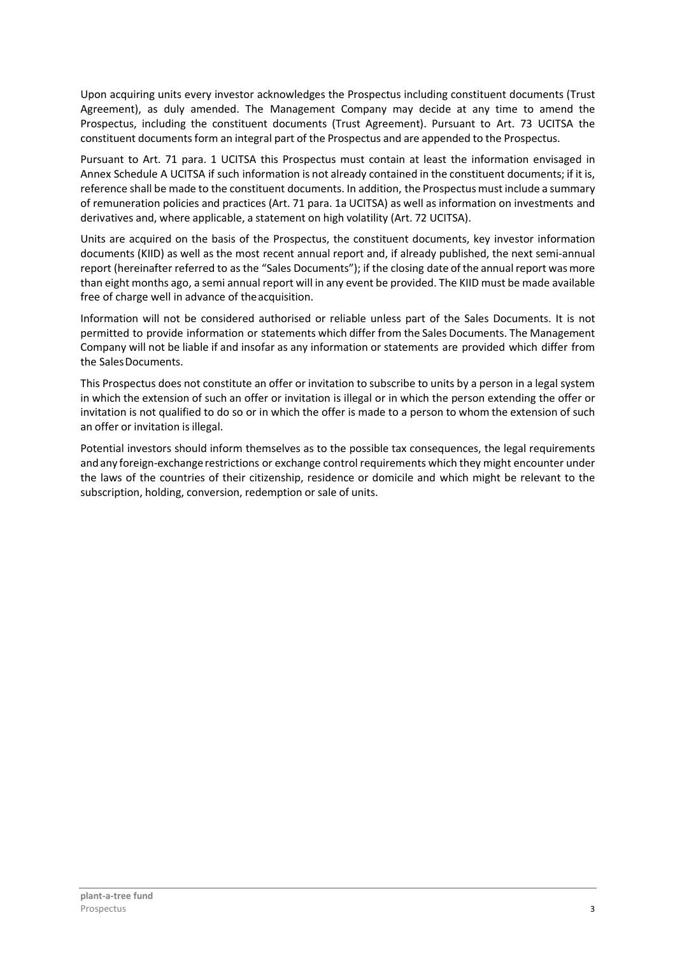Upon acquiring units every investor acknowledges the Prospectus including constituent documents (Trust Agreement), as duly amended. The Management Company may decide at any time to amend the Prospectus, including the constituent documents (Trust Agreement). Pursuant to Art. 73 UCITSA the constituent documents form an integral part of the Prospectus and are appended to the Prospectus.

Pursuant to Art. 71 para. 1 UCITSA this Prospectus must contain at least the information envisaged in Annex Schedule A UCITSA if such information is not already contained in the constituent documents; if it is, reference shall be made to the constituent documents. In addition, the Prospectus must include a summary of remuneration policies and practices (Art. 71 para. 1a UCITSA) as well as information on investments and derivatives and, where applicable, a statement on high volatility (Art. 72 UCITSA).

Units are acquired on the basis of the Prospectus, the constituent documents, key investor information documents (KIID) as well as the most recent annual report and, if already published, the next semi-annual report (hereinafter referred to as the "Sales Documents"); if the closing date of the annual report was more than eight months ago, a semi annual report will in any event be provided. The KIID must be made available free of charge well in advance of the acquisition.

Information will not be considered authorised or reliable unless part of the Sales Documents. It is not permitted to provide information or statements which differ from the Sales Documents. The Management Company will not be liable if and insofar as any information or statements are provided which differ from the Sales Documents.

This Prospectus does not constitute an offer or invitation to subscribe to units by a person in a legal system in which the extension of such an offer or invitation is illegal or in which the person extending the offer or invitation is not qualified to do so or in which the offer is made to a person to whom the extension of such an offer or invitation is illegal.

Potential investors should inform themselves as to the possible tax consequences, the legal requirements and any foreign-exchange restrictions or exchange control requirements which they might encounter under the laws of the countries of their citizenship, residence or domicile and which might be relevant to the subscription, holding, conversion, redemption or sale of units.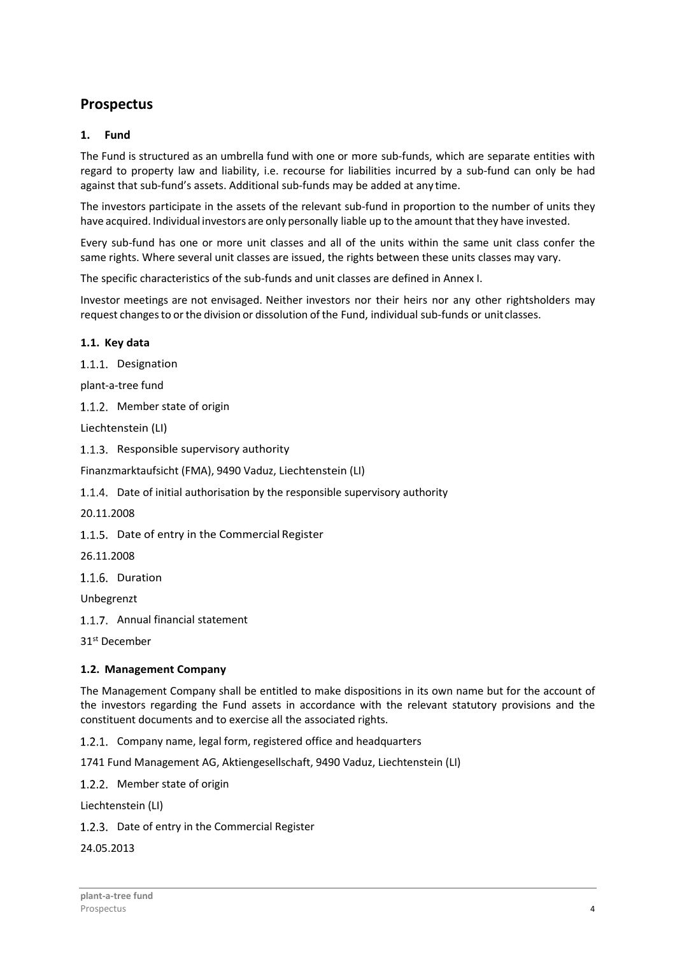# **Prospectus**

# **1. Fund**

The Fund is structured as an umbrella fund with one or more sub-funds, which are separate entities with regard to property law and liability, i.e. recourse for liabilities incurred by a sub-fund can only be had against that sub-fund's assets. Additional sub-funds may be added at any time.

The investors participate in the assets of the relevant sub-fund in proportion to the number of units they have acquired. Individual investors are only personally liable up to the amount that they have invested.

Every sub-fund has one or more unit classes and all of the units within the same unit class confer the same rights. Where several unit classes are issued, the rights between these units classes may vary.

The specific characteristics of the sub-funds and unit classes are defined in Annex I.

Investor meetings are not envisaged. Neither investors nor their heirs nor any other rightsholders may request changes to or the division or dissolution of the Fund, individual sub-funds or unit classes.

# **1.1. Key data**

1.1.1. Designation

plant-a-tree fund

1.1.2. Member state of origin

Liechtenstein (LI)

1.1.3. Responsible supervisory authority

Finanzmarktaufsicht (FMA), 9490 Vaduz, Liechtenstein (LI)

1.1.4. Date of initial authorisation by the responsible supervisory authority

20.11.2008

1.1.5. Date of entry in the Commercial Register

26.11.2008

1.1.6. Duration

Unbegrenzt

1.1.7. Annual financial statement

31st December

# **1.2. Management Company**

The Management Company shall be entitled to make dispositions in its own name but for the account of the investors regarding the Fund assets in accordance with the relevant statutory provisions and the constituent documents and to exercise all the associated rights.

1.2.1. Company name, legal form, registered office and headquarters

1741 Fund Management AG, Aktiengesellschaft, 9490 Vaduz, Liechtenstein (LI)

1.2.2. Member state of origin

Liechtenstein (LI)

1.2.3. Date of entry in the Commercial Register

24.05.2013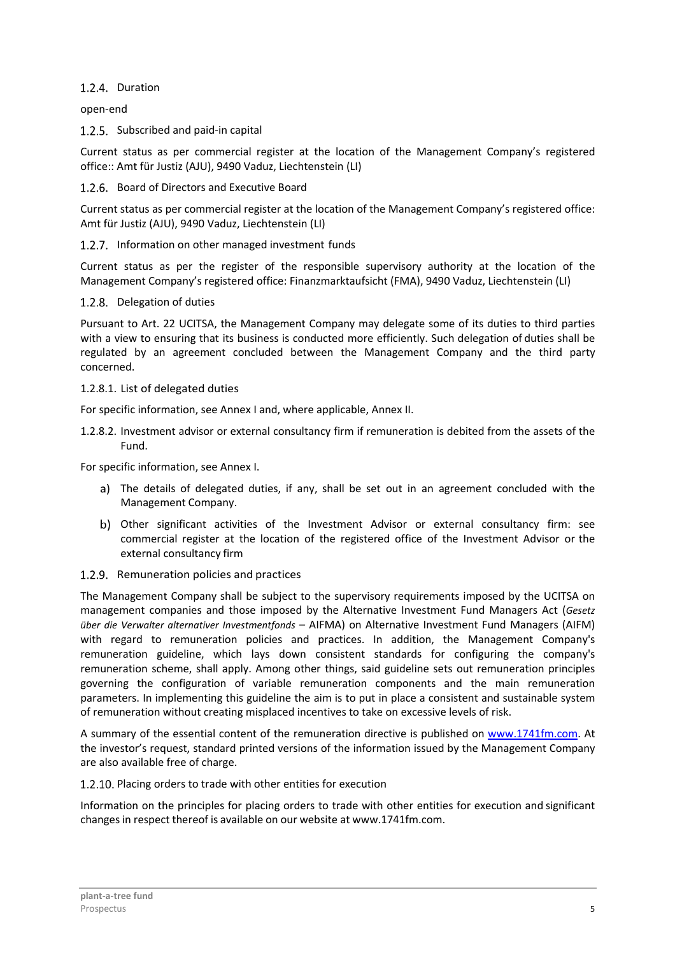# 1.2.4. Duration

open-end

1.2.5. Subscribed and paid-in capital

Current status as per commercial register at the location of the Management Company's registered office:: Amt für Justiz (AJU), 9490 Vaduz, Liechtenstein (LI)

# 1.2.6. Board of Directors and Executive Board

Current status as per commercial register at the location of the Management Company's registered office: Amt für Justiz (AJU), 9490 Vaduz, Liechtenstein (LI)

# 1.2.7. Information on other managed investment funds

Current status as per the register of the responsible supervisory authority at the location of the Management Company's registered office: Finanzmarktaufsicht (FMA), 9490 Vaduz, Liechtenstein (LI)

#### 1.2.8. Delegation of duties

Pursuant to Art. 22 UCITSA, the Management Company may delegate some of its duties to third parties with a view to ensuring that its business is conducted more efficiently. Such delegation of duties shall be regulated by an agreement concluded between the Management Company and the third party concerned.

#### 1.2.8.1. List of delegated duties

For specific information, see Annex I and, where applicable, Annex II.

1.2.8.2. Investment advisor or external consultancy firm if remuneration is debited from the assets of the Fund.

For specific information, see Annex I.

- The details of delegated duties, if any, shall be set out in an agreement concluded with the Management Company.
- Other significant activities of the Investment Advisor or external consultancy firm: see commercial register at the location of the registered office of the Investment Advisor or the external consultancy firm

#### 1.2.9. Remuneration policies and practices

The Management Company shall be subject to the supervisory requirements imposed by the UCITSA on management companies and those imposed by the Alternative Investment Fund Managers Act (*Gesetz über die Verwalter alternativer Investmentfonds* – AIFMA) on Alternative Investment Fund Managers (AIFM) with regard to remuneration policies and practices. In addition, the Management Company's remuneration guideline, which lays down consistent standards for configuring the company's remuneration scheme, shall apply. Among other things, said guideline sets out remuneration principles governing the configuration of variable remuneration components and the main remuneration parameters. In implementing this guideline the aim is to put in place a consistent and sustainable system of remuneration without creating misplaced incentives to take on excessive levels of risk.

A summary of the essential content of the remuneration directive is published on www.1741fm.com. At the investor's request, standard printed versions of the information issued by the Management Company are also available free of charge.

#### 1.2.10. Placing orders to trade with other entities for execution

Information on the principles for placing orders to trade with other entities for execution and significant changes in respect thereof is available on our website at www.1741fm.com.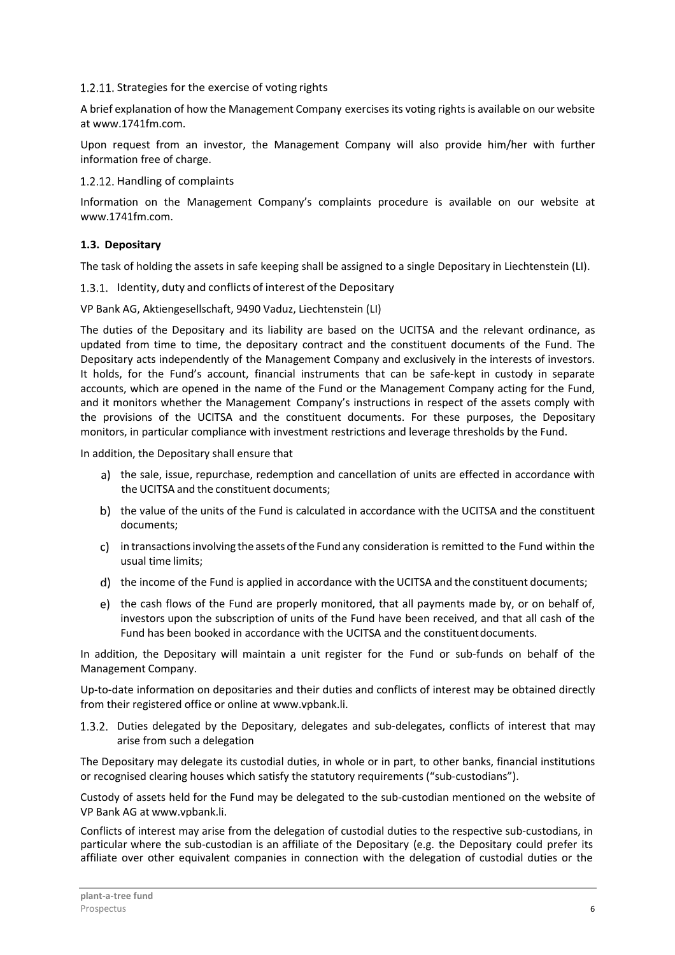# 1.2.11. Strategies for the exercise of voting rights

A brief explanation of how the Management Company exercises its voting rights is available on our website at www.1741fm.com.

Upon request from an investor, the Management Company will also provide him/her with further information free of charge.

#### 1.2.12. Handling of complaints

Information on the Management Company's complaints procedure is available on our website at www.1741fm.com.

# **1.3. Depositary**

The task of holding the assets in safe keeping shall be assigned to a single Depositary in Liechtenstein (LI).

1.3.1. Identity, duty and conflicts of interest of the Depositary

VP Bank AG, Aktiengesellschaft, 9490 Vaduz, Liechtenstein (LI)

The duties of the Depositary and its liability are based on the UCITSA and the relevant ordinance, as updated from time to time, the depositary contract and the constituent documents of the Fund. The Depositary acts independently of the Management Company and exclusively in the interests of investors. It holds, for the Fund's account, financial instruments that can be safe-kept in custody in separate accounts, which are opened in the name of the Fund or the Management Company acting for the Fund, and it monitors whether the Management Company's instructions in respect of the assets comply with the provisions of the UCITSA and the constituent documents. For these purposes, the Depositary monitors, in particular compliance with investment restrictions and leverage thresholds by the Fund.

In addition, the Depositary shall ensure that

- a) the sale, issue, repurchase, redemption and cancellation of units are effected in accordance with the UCITSA and the constituent documents;
- b) the value of the units of the Fund is calculated in accordance with the UCITSA and the constituent documents;
- in transactions involving the assets of the Fund any consideration is remitted to the Fund within the usual time limits;
- the income of the Fund is applied in accordance with the UCITSA and the constituent documents;
- e) the cash flows of the Fund are properly monitored, that all payments made by, or on behalf of, investors upon the subscription of units of the Fund have been received, and that all cash of the Fund has been booked in accordance with the UCITSA and the constituent documents.

In addition, the Depositary will maintain a unit register for the Fund or sub-funds on behalf of the Management Company.

Up-to-date information on depositaries and their duties and conflicts of interest may be obtained directly from their registered office or online at www.vpbank.li.

1.3.2. Duties delegated by the Depositary, delegates and sub-delegates, conflicts of interest that may arise from such a delegation

The Depositary may delegate its custodial duties, in whole or in part, to other banks, financial institutions or recognised clearing houses which satisfy the statutory requirements ("sub-custodians").

Custody of assets held for the Fund may be delegated to the sub-custodian mentioned on the website of VP Bank AG at www.vpbank.li.

Conflicts of interest may arise from the delegation of custodial duties to the respective sub-custodians, in particular where the sub-custodian is an affiliate of the Depositary (e.g. the Depositary could prefer its affiliate over other equivalent companies in connection with the delegation of custodial duties or the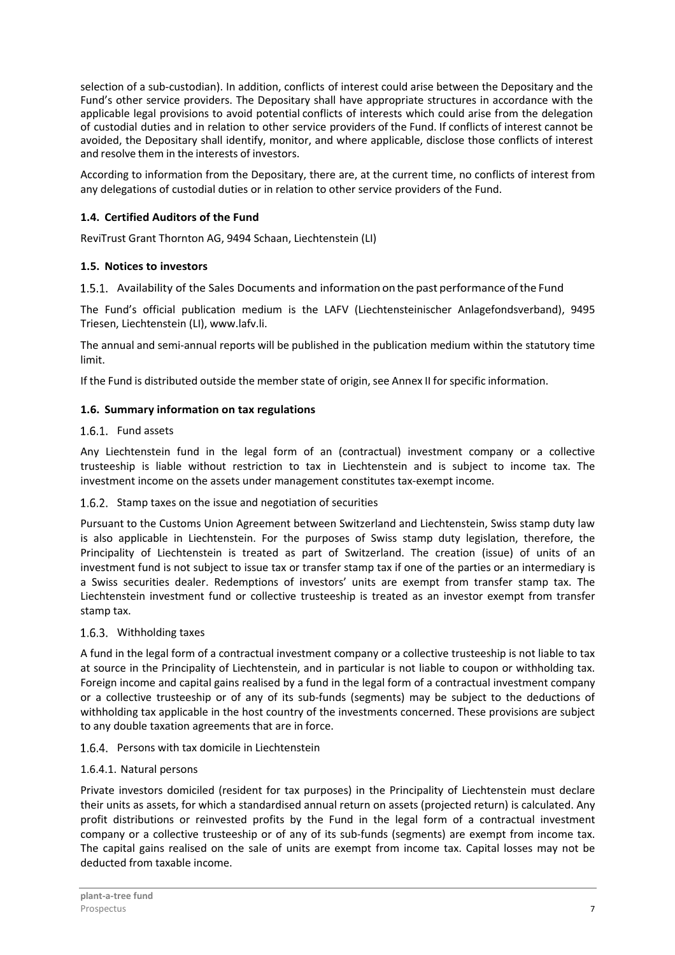selection of a sub-custodian). In addition, conflicts of interest could arise between the Depositary and the Fund's other service providers. The Depositary shall have appropriate structures in accordance with the applicable legal provisions to avoid potential conflicts of interests which could arise from the delegation of custodial duties and in relation to other service providers of the Fund. If conflicts of interest cannot be avoided, the Depositary shall identify, monitor, and where applicable, disclose those conflicts of interest and resolve them in the interests of investors.

According to information from the Depositary, there are, at the current time, no conflicts of interest from any delegations of custodial duties or in relation to other service providers of the Fund.

# **1.4. Certified Auditors of the Fund**

ReviTrust Grant Thornton AG, 9494 Schaan, Liechtenstein (LI)

# **1.5. Notices to investors**

Availability of the Sales Documents and information on the past performance of the Fund

The Fund's official publication medium is the LAFV (Liechtensteinischer Anlagefondsverband), 9495 Triesen, Liechtenstein (LI), www.lafv.li.

The annual and semi-annual reports will be published in the publication medium within the statutory time limit.

If the Fund is distributed outside the member state of origin, see Annex II for specific information.

# **1.6. Summary information on tax regulations**

# 1.6.1 Fund assets

Any Liechtenstein fund in the legal form of an (contractual) investment company or a collective trusteeship is liable without restriction to tax in Liechtenstein and is subject to income tax. The investment income on the assets under management constitutes tax-exempt income.

#### 1.6.2. Stamp taxes on the issue and negotiation of securities

Pursuant to the Customs Union Agreement between Switzerland and Liechtenstein, Swiss stamp duty law is also applicable in Liechtenstein. For the purposes of Swiss stamp duty legislation, therefore, the Principality of Liechtenstein is treated as part of Switzerland. The creation (issue) of units of an investment fund is not subject to issue tax or transfer stamp tax if one of the parties or an intermediary is a Swiss securities dealer. Redemptions of investors' units are exempt from transfer stamp tax. The Liechtenstein investment fund or collective trusteeship is treated as an investor exempt from transfer stamp tax.

#### 1.6.3. Withholding taxes

A fund in the legal form of a contractual investment company or a collective trusteeship is not liable to tax at source in the Principality of Liechtenstein, and in particular is not liable to coupon or withholding tax. Foreign income and capital gains realised by a fund in the legal form of a contractual investment company or a collective trusteeship or of any of its sub-funds (segments) may be subject to the deductions of withholding tax applicable in the host country of the investments concerned. These provisions are subject to any double taxation agreements that are in force.

#### 1.6.4. Persons with tax domicile in Liechtenstein

#### 1.6.4.1. Natural persons

Private investors domiciled (resident for tax purposes) in the Principality of Liechtenstein must declare their units as assets, for which a standardised annual return on assets (projected return) is calculated. Any profit distributions or reinvested profits by the Fund in the legal form of a contractual investment company or a collective trusteeship or of any of its sub-funds (segments) are exempt from income tax. The capital gains realised on the sale of units are exempt from income tax. Capital losses may not be deducted from taxable income.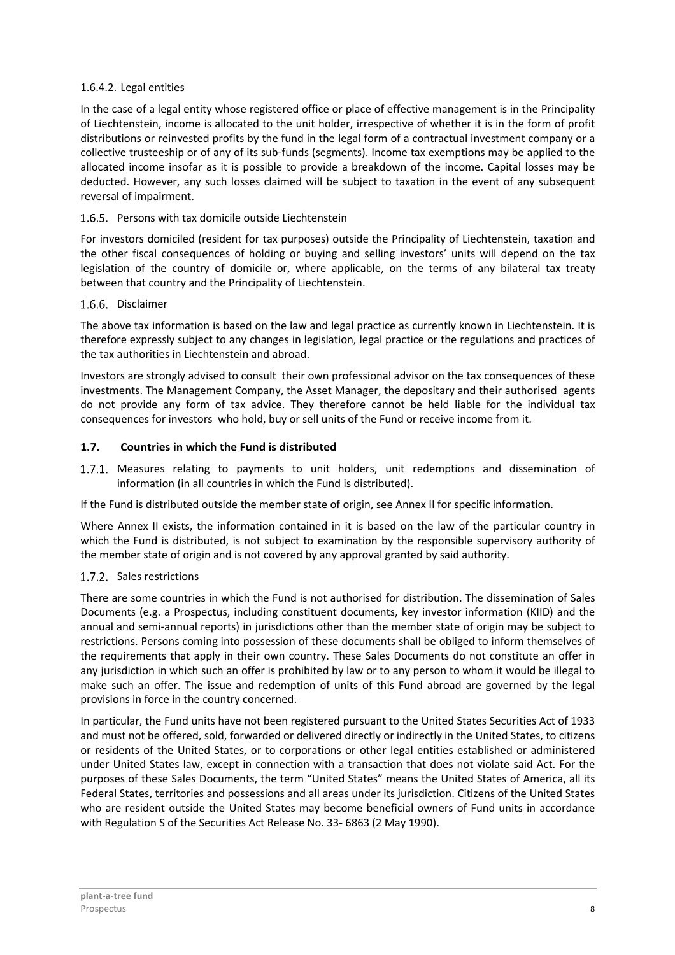# 1.6.4.2. Legal entities

In the case of a legal entity whose registered office or place of effective management is in the Principality of Liechtenstein, income is allocated to the unit holder, irrespective of whether it is in the form of profit distributions or reinvested profits by the fund in the legal form of a contractual investment company or a collective trusteeship or of any of its sub-funds (segments). Income tax exemptions may be applied to the allocated income insofar as it is possible to provide a breakdown of the income. Capital losses may be deducted. However, any such losses claimed will be subject to taxation in the event of any subsequent reversal of impairment.

# 1.6.5. Persons with tax domicile outside Liechtenstein

For investors domiciled (resident for tax purposes) outside the Principality of Liechtenstein, taxation and the other fiscal consequences of holding or buying and selling investors' units will depend on the tax legislation of the country of domicile or, where applicable, on the terms of any bilateral tax treaty between that country and the Principality of Liechtenstein.

# 1.6.6. Disclaimer

The above tax information is based on the law and legal practice as currently known in Liechtenstein. It is therefore expressly subject to any changes in legislation, legal practice or the regulations and practices of the tax authorities in Liechtenstein and abroad.

Investors are strongly advised to consult their own professional advisor on the tax consequences of these investments. The Management Company, the Asset Manager, the depositary and their authorised agents do not provide any form of tax advice. They therefore cannot be held liable for the individual tax consequences for investors who hold, buy or sell units of the Fund or receive income from it.

# **1.7. Countries in which the Fund is distributed**

1.7.1. Measures relating to payments to unit holders, unit redemptions and dissemination of information (in all countries in which the Fund is distributed).

If the Fund is distributed outside the member state of origin, see Annex II for specific information.

Where Annex II exists, the information contained in it is based on the law of the particular country in which the Fund is distributed, is not subject to examination by the responsible supervisory authority of the member state of origin and is not covered by any approval granted by said authority.

# 1.7.2. Sales restrictions

There are some countries in which the Fund is not authorised for distribution. The dissemination of Sales Documents (e.g. a Prospectus, including constituent documents, key investor information (KIID) and the annual and semi-annual reports) in jurisdictions other than the member state of origin may be subject to restrictions. Persons coming into possession of these documents shall be obliged to inform themselves of the requirements that apply in their own country. These Sales Documents do not constitute an offer in any jurisdiction in which such an offer is prohibited by law or to any person to whom it would be illegal to make such an offer. The issue and redemption of units of this Fund abroad are governed by the legal provisions in force in the country concerned.

In particular, the Fund units have not been registered pursuant to the United States Securities Act of 1933 and must not be offered, sold, forwarded or delivered directly or indirectly in the United States, to citizens or residents of the United States, or to corporations or other legal entities established or administered under United States law, except in connection with a transaction that does not violate said Act. For the purposes of these Sales Documents, the term "United States" means the United States of America, all its Federal States, territories and possessions and all areas under its jurisdiction. Citizens of the United States who are resident outside the United States may become beneficial owners of Fund units in accordance with Regulation S of the Securities Act Release No. 33- 6863 (2 May 1990).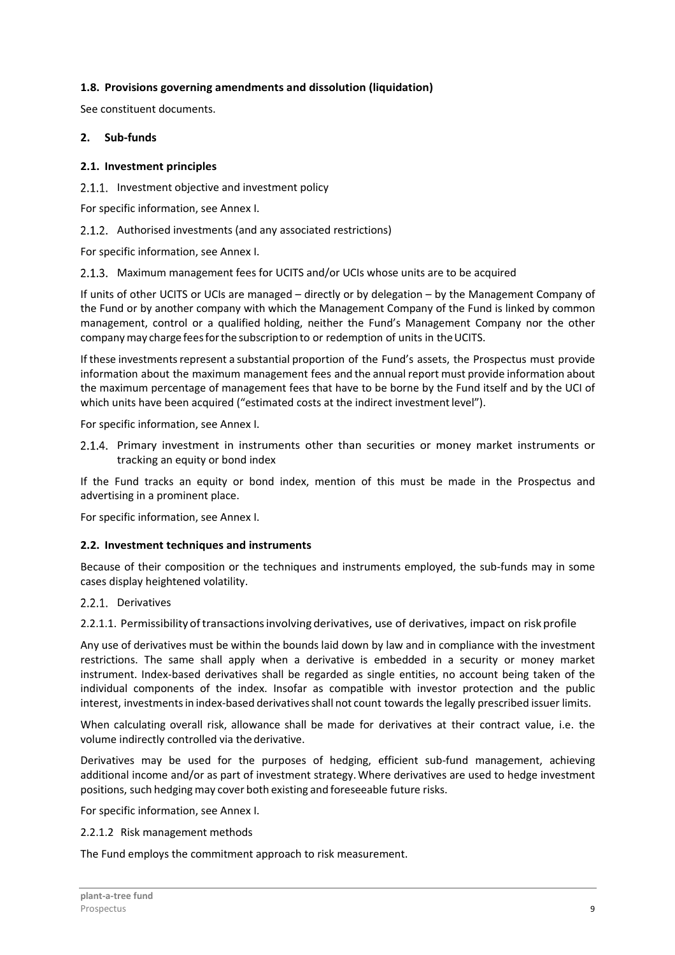# **1.8. Provisions governing amendments and dissolution (liquidation)**

See constituent documents.

#### **2. Sub-funds**

#### **2.1. Investment principles**

2.1.1. Investment objective and investment policy

For specific information, see Annex I.

2.1.2. Authorised investments (and any associated restrictions)

For specific information, see Annex I.

2.1.3. Maximum management fees for UCITS and/or UCIs whose units are to be acquired

If units of other UCITS or UCIs are managed – directly or by delegation – by the Management Company of the Fund or by another company with which the Management Company of the Fund is linked by common management, control or a qualified holding, neither the Fund's Management Company nor the other company may charge fees for the subscription to or redemption of units in the UCITS.

If these investments represent a substantial proportion of the Fund's assets, the Prospectus must provide information about the maximum management fees and the annual report must provide information about the maximum percentage of management fees that have to be borne by the Fund itself and by the UCI of which units have been acquired ("estimated costs at the indirect investment level").

For specific information, see Annex I.

2.1.4. Primary investment in instruments other than securities or money market instruments or tracking an equity or bond index

If the Fund tracks an equity or bond index, mention of this must be made in the Prospectus and advertising in a prominent place.

For specific information, see Annex I.

#### **2.2. Investment techniques and instruments**

Because of their composition or the techniques and instruments employed, the sub-funds may in some cases display heightened volatility.

#### 2.2.1. Derivatives

2.2.1.1. Permissibility of transactions involving derivatives, use of derivatives, impact on risk profile

Any use of derivatives must be within the bounds laid down by law and in compliance with the investment restrictions. The same shall apply when a derivative is embedded in a security or money market instrument. Index-based derivatives shall be regarded as single entities, no account being taken of the individual components of the index. Insofar as compatible with investor protection and the public interest, investments in index-based derivatives shall not count towards the legally prescribed issuer limits.

When calculating overall risk, allowance shall be made for derivatives at their contract value, i.e. the volume indirectly controlled via the derivative.

Derivatives may be used for the purposes of hedging, efficient sub-fund management, achieving additional income and/or as part of investment strategy. Where derivatives are used to hedge investment positions, such hedging may cover both existing and foreseeable future risks.

For specific information, see Annex I.

2.2.1.2 Risk management methods

The Fund employs the commitment approach to risk measurement.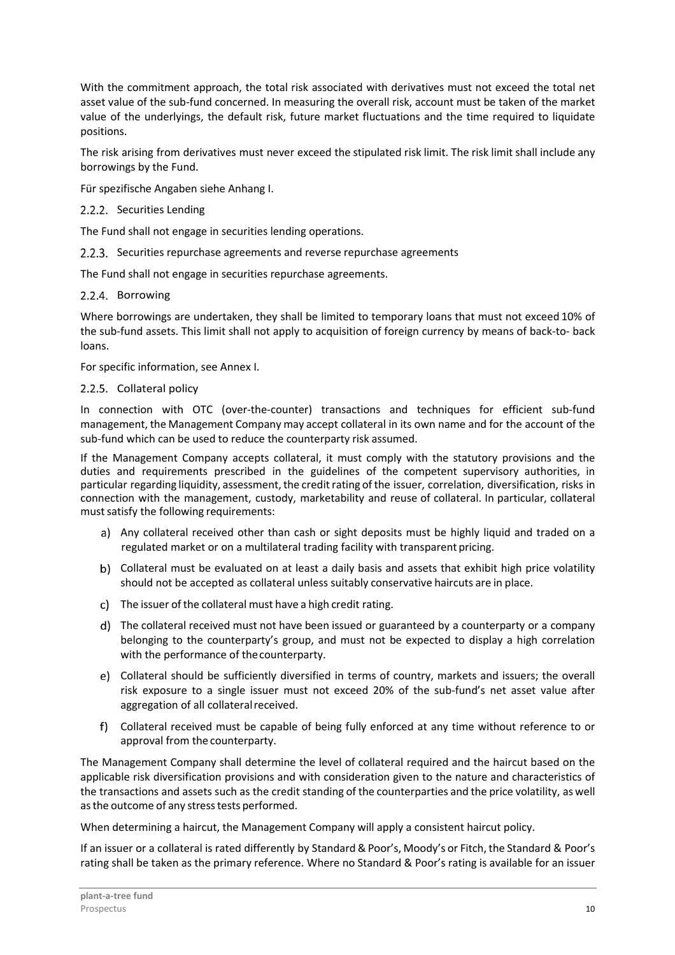With the commitment approach, the total risk associated with derivatives must not exceed the total net asset value of the sub-fund concerned. In measuring the overall risk, account must be taken of the market value of the underlyings, the default risk, future market fluctuations and the time required to liquidate positions.

The risk arising from derivatives must never exceed the stipulated risk limit. The risk limit shall include any borrowings by the Fund.

Für spezifische Angaben siehe Anhang I.

#### 2.2.2. Securities Lending

The Fund shall not engage in securities lending operations.

2.2.3. Securities repurchase agreements and reverse repurchase agreements

The Fund shall not engage in securities repurchase agreements.

# 2.2.4. Borrowing

Where borrowings are undertaken, they shall be limited to temporary loans that must not exceed 10% of the sub-fund assets. This limit shall not apply to acquisition of foreign currency by means of back-to- back loans.

For specific information, see Annex I.

#### 2.2.5. Collateral policy

In connection with OTC (over-the-counter) transactions and techniques for efficient sub-fund management, the Management Company may accept collateral in its own name and for the account of the sub-fund which can be used to reduce the counterparty risk assumed.

If the Management Company accepts collateral, it must comply with the statutory provisions and the duties and requirements prescribed in the guidelines of the competent supervisory authorities, in particular regarding liquidity, assessment, the credit rating of the issuer, correlation, diversification, risks in connection with the management, custody, marketability and reuse of collateral. In particular, collateral must satisfy the following requirements:

- a) Any collateral received other than cash or sight deposits must be highly liquid and traded on a regulated market or on a multilateral trading facility with transparent pricing.
- Collateral must be evaluated on at least a daily basis and assets that exhibit high price volatility should not be accepted as collateral unless suitably conservative haircuts are in place.
- The issuer of the collateral must have a high credit rating.
- The collateral received must not have been issued or guaranteed by a counterparty or a company belonging to the counterparty's group, and must not be expected to display a high correlation with the performance of the counterparty.
- e) Collateral should be sufficiently diversified in terms of country, markets and issuers; the overall risk exposure to a single issuer must not exceed 20% of the sub-fund's net asset value after aggregation of all collateral received.
- Collateral received must be capable of being fully enforced at any time without reference to or approval from the counterparty.

The Management Company shall determine the level of collateral required and the haircut based on the applicable risk diversification provisions and with consideration given to the nature and characteristics of the transactions and assets such as the credit standing of the counterparties and the price volatility, as well as the outcome of any stress tests performed.

When determining a haircut, the Management Company will apply a consistent haircut policy.

If an issuer or a collateral is rated differently by Standard & Poor's, Moody's or Fitch, the Standard & Poor's rating shall be taken as the primary reference. Where no Standard & Poor's rating is available for an issuer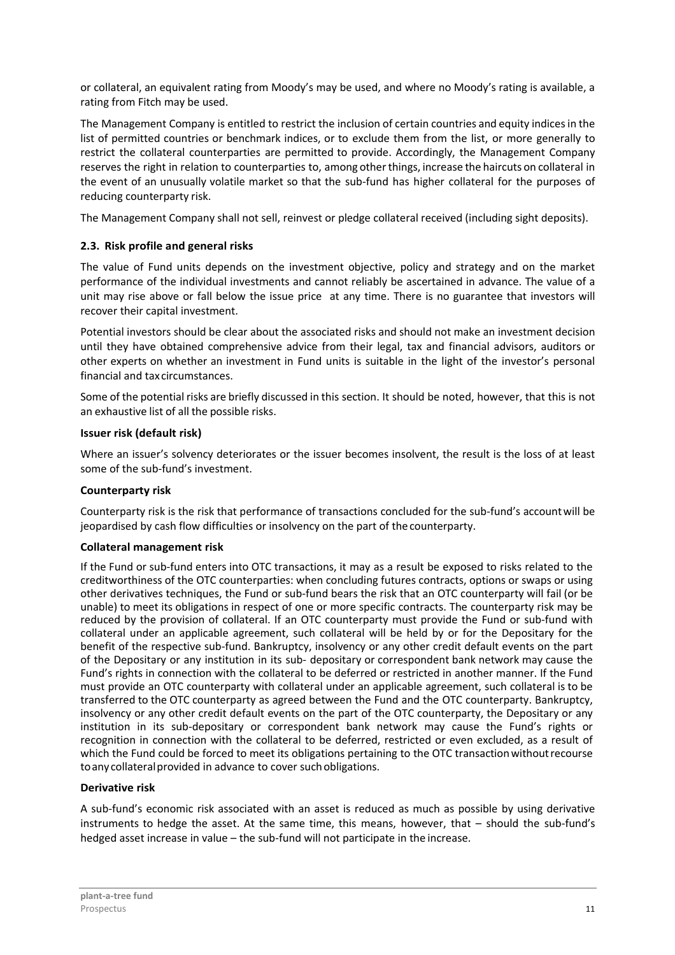or collateral, an equivalent rating from Moody's may be used, and where no Moody's rating is available, a rating from Fitch may be used.

The Management Company is entitled to restrict the inclusion of certain countries and equity indices in the list of permitted countries or benchmark indices, or to exclude them from the list, or more generally to restrict the collateral counterparties are permitted to provide. Accordingly, the Management Company reserves the right in relation to counterparties to, among other things, increase the haircuts on collateral in the event of an unusually volatile market so that the sub-fund has higher collateral for the purposes of reducing counterparty risk.

The Management Company shall not sell, reinvest or pledge collateral received (including sight deposits).

# **2.3. Risk profile and general risks**

The value of Fund units depends on the investment objective, policy and strategy and on the market performance of the individual investments and cannot reliably be ascertained in advance. The value of a unit may rise above or fall below the issue price at any time. There is no guarantee that investors will recover their capital investment.

Potential investors should be clear about the associated risks and should not make an investment decision until they have obtained comprehensive advice from their legal, tax and financial advisors, auditors or other experts on whether an investment in Fund units is suitable in the light of the investor's personal financial and tax circumstances.

Some of the potential risks are briefly discussed in this section. It should be noted, however, that this is not an exhaustive list of all the possible risks.

#### **Issuer risk (default risk)**

Where an issuer's solvency deteriorates or the issuer becomes insolvent, the result is the loss of at least some of the sub-fund's investment.

#### **Counterparty risk**

Counterparty risk is the risk that performance of transactions concluded for the sub-fund's account will be jeopardised by cash flow difficulties or insolvency on the part of the counterparty.

#### **Collateral management risk**

If the Fund or sub-fund enters into OTC transactions, it may as a result be exposed to risks related to the creditworthiness of the OTC counterparties: when concluding futures contracts, options or swaps or using other derivatives techniques, the Fund or sub-fund bears the risk that an OTC counterparty will fail (or be unable) to meet its obligations in respect of one or more specific contracts. The counterparty risk may be reduced by the provision of collateral. If an OTC counterparty must provide the Fund or sub-fund with collateral under an applicable agreement, such collateral will be held by or for the Depositary for the benefit of the respective sub-fund. Bankruptcy, insolvency or any other credit default events on the part of the Depositary or any institution in its sub- depositary or correspondent bank network may cause the Fund's rights in connection with the collateral to be deferred or restricted in another manner. If the Fund must provide an OTC counterparty with collateral under an applicable agreement, such collateral is to be transferred to the OTC counterparty as agreed between the Fund and the OTC counterparty. Bankruptcy, insolvency or any other credit default events on the part of the OTC counterparty, the Depositary or any institution in its sub-depositary or correspondent bank network may cause the Fund's rights or recognition in connection with the collateral to be deferred, restricted or even excluded, as a result of which the Fund could be forced to meet its obligations pertaining to the OTC transaction without recourse to any collateral provided in advance to cover such obligations.

#### **Derivative risk**

A sub-fund's economic risk associated with an asset is reduced as much as possible by using derivative instruments to hedge the asset. At the same time, this means, however, that – should the sub-fund's hedged asset increase in value – the sub-fund will not participate in the increase.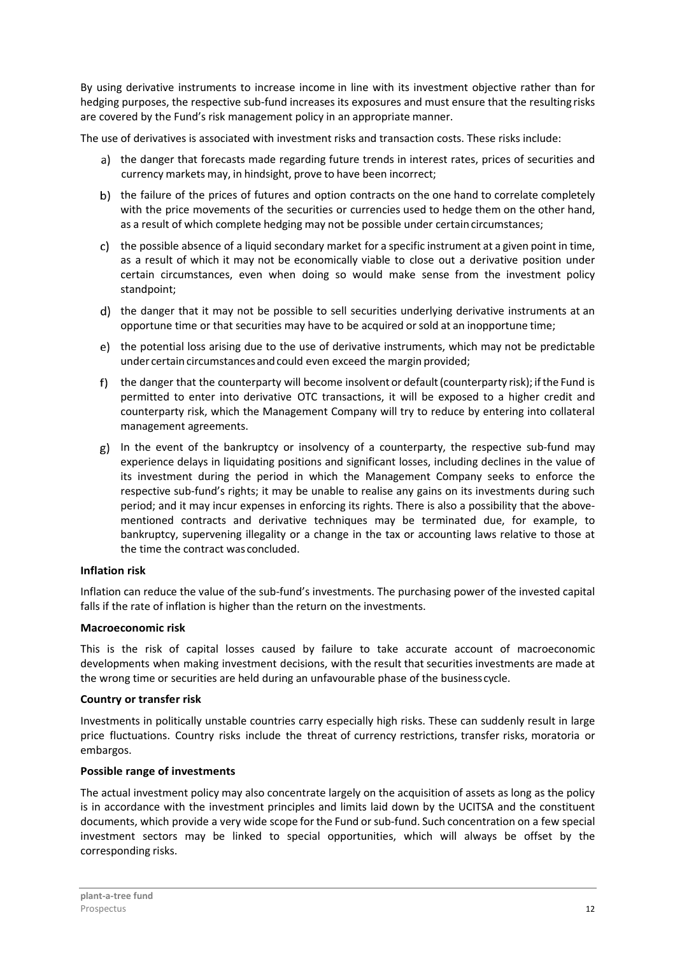By using derivative instruments to increase income in line with its investment objective rather than for hedging purposes, the respective sub-fund increases its exposures and must ensure that the resulting risks are covered by the Fund's risk management policy in an appropriate manner.

The use of derivatives is associated with investment risks and transaction costs. These risks include:

- a) the danger that forecasts made regarding future trends in interest rates, prices of securities and currency markets may, in hindsight, prove to have been incorrect;
- b) the failure of the prices of futures and option contracts on the one hand to correlate completely with the price movements of the securities or currencies used to hedge them on the other hand, as a result of which complete hedging may not be possible under certain circumstances;
- c) the possible absence of a liquid secondary market for a specific instrument at a given point in time, as a result of which it may not be economically viable to close out a derivative position under certain circumstances, even when doing so would make sense from the investment policy standpoint;
- d) the danger that it may not be possible to sell securities underlying derivative instruments at an opportune time or that securities may have to be acquired or sold at an inopportune time;
- the potential loss arising due to the use of derivative instruments, which may not be predictable under certain circumstances and could even exceed the margin provided;
- f) the danger that the counterparty will become insolvent or default (counterparty risk); if the Fund is permitted to enter into derivative OTC transactions, it will be exposed to a higher credit and counterparty risk, which the Management Company will try to reduce by entering into collateral management agreements.
- g) In the event of the bankruptcy or insolvency of a counterparty, the respective sub-fund may experience delays in liquidating positions and significant losses, including declines in the value of its investment during the period in which the Management Company seeks to enforce the respective sub-fund's rights; it may be unable to realise any gains on its investments during such period; and it may incur expenses in enforcing its rights. There is also a possibility that the abovementioned contracts and derivative techniques may be terminated due, for example, to bankruptcy, supervening illegality or a change in the tax or accounting laws relative to those at the time the contract was concluded.

# **Inflation risk**

Inflation can reduce the value of the sub-fund's investments. The purchasing power of the invested capital falls if the rate of inflation is higher than the return on the investments.

# **Macroeconomic risk**

This is the risk of capital losses caused by failure to take accurate account of macroeconomic developments when making investment decisions, with the result that securities investments are made at the wrong time or securities are held during an unfavourable phase of the business cycle.

#### **Country or transfer risk**

Investments in politically unstable countries carry especially high risks. These can suddenly result in large price fluctuations. Country risks include the threat of currency restrictions, transfer risks, moratoria or embargos.

# **Possible range of investments**

The actual investment policy may also concentrate largely on the acquisition of assets as long as the policy is in accordance with the investment principles and limits laid down by the UCITSA and the constituent documents, which provide a very wide scope for the Fund or sub-fund. Such concentration on a few special investment sectors may be linked to special opportunities, which will always be offset by the corresponding risks.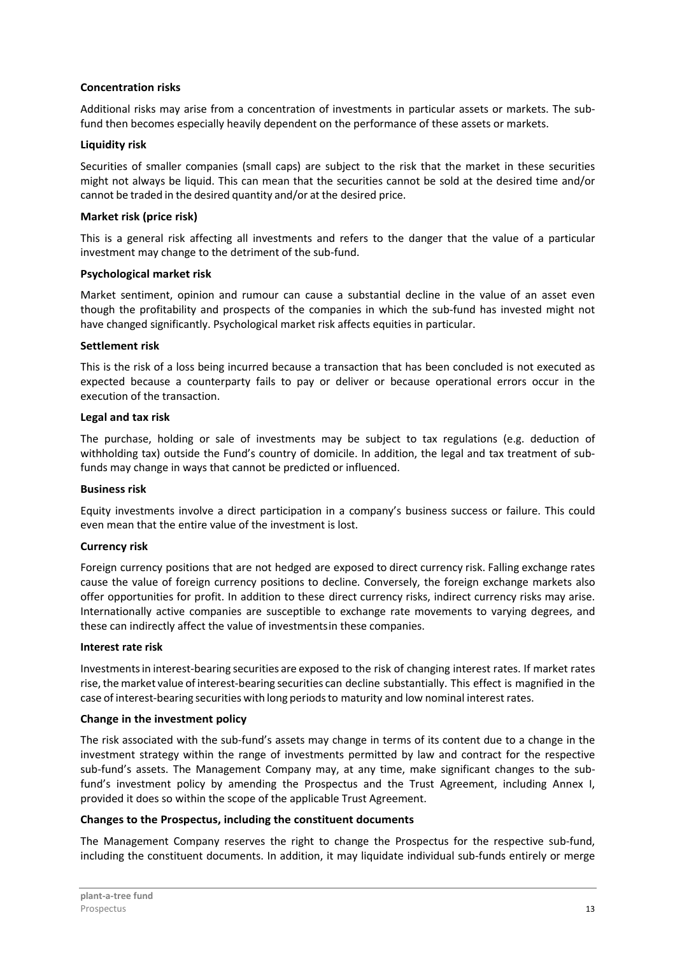#### **Concentration risks**

Additional risks may arise from a concentration of investments in particular assets or markets. The subfund then becomes especially heavily dependent on the performance of these assets or markets.

#### **Liquidity risk**

Securities of smaller companies (small caps) are subject to the risk that the market in these securities might not always be liquid. This can mean that the securities cannot be sold at the desired time and/or cannot be traded in the desired quantity and/or at the desired price.

#### **Market risk (price risk)**

This is a general risk affecting all investments and refers to the danger that the value of a particular investment may change to the detriment of the sub-fund.

#### **Psychological market risk**

Market sentiment, opinion and rumour can cause a substantial decline in the value of an asset even though the profitability and prospects of the companies in which the sub-fund has invested might not have changed significantly. Psychological market risk affects equities in particular.

# **Settlement risk**

This is the risk of a loss being incurred because a transaction that has been concluded is not executed as expected because a counterparty fails to pay or deliver or because operational errors occur in the execution of the transaction.

# **Legal and tax risk**

The purchase, holding or sale of investments may be subject to tax regulations (e.g. deduction of withholding tax) outside the Fund's country of domicile. In addition, the legal and tax treatment of subfunds may change in ways that cannot be predicted or influenced.

#### **Business risk**

Equity investments involve a direct participation in a company's business success or failure. This could even mean that the entire value of the investment is lost.

# **Currency risk**

Foreign currency positions that are not hedged are exposed to direct currency risk. Falling exchange rates cause the value of foreign currency positions to decline. Conversely, the foreign exchange markets also offer opportunities for profit. In addition to these direct currency risks, indirect currency risks may arise. Internationally active companies are susceptible to exchange rate movements to varying degrees, and these can indirectly affect the value of investments in these companies.

# **Interest rate risk**

Investments in interest-bearing securities are exposed to the risk of changing interest rates. If market rates rise, the market value of interest-bearing securities can decline substantially. This effect is magnified in the case of interest-bearing securities with long periods to maturity and low nominal interest rates.

#### **Change in the investment policy**

The risk associated with the sub-fund's assets may change in terms of its content due to a change in the investment strategy within the range of investments permitted by law and contract for the respective sub-fund's assets. The Management Company may, at any time, make significant changes to the subfund's investment policy by amending the Prospectus and the Trust Agreement, including Annex I, provided it does so within the scope of the applicable Trust Agreement.

#### **Changes to the Prospectus, including the constituent documents**

The Management Company reserves the right to change the Prospectus for the respective sub-fund, including the constituent documents. In addition, it may liquidate individual sub-funds entirely or merge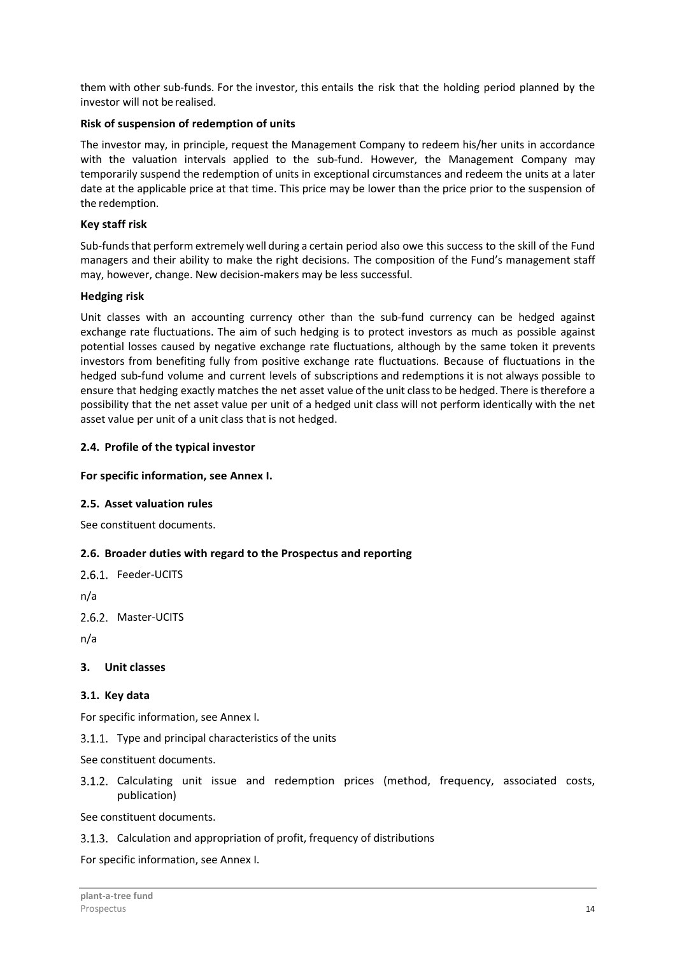them with other sub-funds. For the investor, this entails the risk that the holding period planned by the investor will not be realised.

# **Risk of suspension of redemption of units**

The investor may, in principle, request the Management Company to redeem his/her units in accordance with the valuation intervals applied to the sub-fund. However, the Management Company may temporarily suspend the redemption of units in exceptional circumstances and redeem the units at a later date at the applicable price at that time. This price may be lower than the price prior to the suspension of the redemption.

# **Key staff risk**

Sub-funds that perform extremely well during a certain period also owe this success to the skill of the Fund managers and their ability to make the right decisions. The composition of the Fund's management staff may, however, change. New decision-makers may be less successful.

# **Hedging risk**

Unit classes with an accounting currency other than the sub-fund currency can be hedged against exchange rate fluctuations. The aim of such hedging is to protect investors as much as possible against potential losses caused by negative exchange rate fluctuations, although by the same token it prevents investors from benefiting fully from positive exchange rate fluctuations. Because of fluctuations in the hedged sub-fund volume and current levels of subscriptions and redemptions it is not always possible to ensure that hedging exactly matches the net asset value of the unit class to be hedged. There is therefore a possibility that the net asset value per unit of a hedged unit class will not perform identically with the net asset value per unit of a unit class that is not hedged.

# **2.4. Profile of the typical investor**

# **For specific information, see Annex I.**

#### **2.5. Asset valuation rules**

See constituent documents.

# **2.6. Broader duties with regard to the Prospectus and reporting**

2.6.1. Feeder-UCITS

n/a

2.6.2. Master-UCITS

n/a

#### **3. Unit classes**

#### **3.1. Key data**

For specific information, see Annex I.

3.1.1. Type and principal characteristics of the units

See constituent documents.

3.1.2. Calculating unit issue and redemption prices (method, frequency, associated costs, publication)

See constituent documents.

3.1.3. Calculation and appropriation of profit, frequency of distributions

For specific information, see Annex I.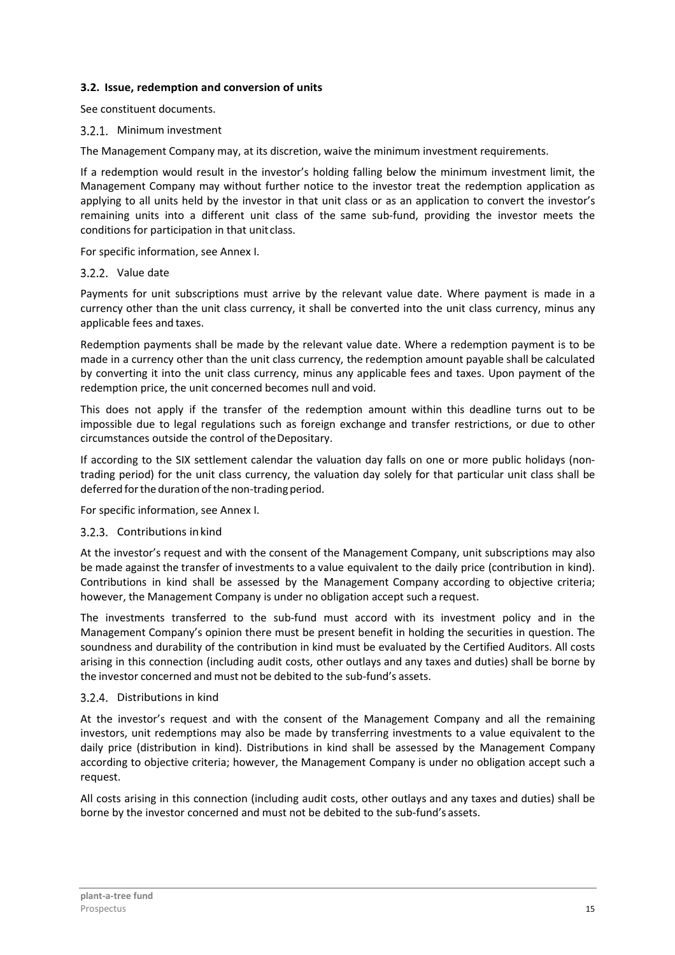# **3.2. Issue, redemption and conversion of units**

See constituent documents.

# 3.2.1. Minimum investment

The Management Company may, at its discretion, waive the minimum investment requirements.

If a redemption would result in the investor's holding falling below the minimum investment limit, the Management Company may without further notice to the investor treat the redemption application as applying to all units held by the investor in that unit class or as an application to convert the investor's remaining units into a different unit class of the same sub-fund, providing the investor meets the conditions for participation in that unit class.

For specific information, see Annex I.

# 3.2.2. Value date

Payments for unit subscriptions must arrive by the relevant value date. Where payment is made in a currency other than the unit class currency, it shall be converted into the unit class currency, minus any applicable fees and taxes.

Redemption payments shall be made by the relevant value date. Where a redemption payment is to be made in a currency other than the unit class currency, the redemption amount payable shall be calculated by converting it into the unit class currency, minus any applicable fees and taxes. Upon payment of the redemption price, the unit concerned becomes null and void.

This does not apply if the transfer of the redemption amount within this deadline turns out to be impossible due to legal regulations such as foreign exchange and transfer restrictions, or due to other circumstances outside the control of the Depositary.

If according to the SIX settlement calendar the valuation day falls on one or more public holidays (nontrading period) for the unit class currency, the valuation day solely for that particular unit class shall be deferred for the duration of the non-trading period.

For specific information, see Annex I.

#### 3.2.3. Contributions in kind

At the investor's request and with the consent of the Management Company, unit subscriptions may also be made against the transfer of investments to a value equivalent to the daily price (contribution in kind). Contributions in kind shall be assessed by the Management Company according to objective criteria; however, the Management Company is under no obligation accept such a request.

The investments transferred to the sub-fund must accord with its investment policy and in the Management Company's opinion there must be present benefit in holding the securities in question. The soundness and durability of the contribution in kind must be evaluated by the Certified Auditors. All costs arising in this connection (including audit costs, other outlays and any taxes and duties) shall be borne by the investor concerned and must not be debited to the sub-fund's assets.

# 3.2.4. Distributions in kind

At the investor's request and with the consent of the Management Company and all the remaining investors, unit redemptions may also be made by transferring investments to a value equivalent to the daily price (distribution in kind). Distributions in kind shall be assessed by the Management Company according to objective criteria; however, the Management Company is under no obligation accept such a request.

All costs arising in this connection (including audit costs, other outlays and any taxes and duties) shall be borne by the investor concerned and must not be debited to the sub-fund's assets.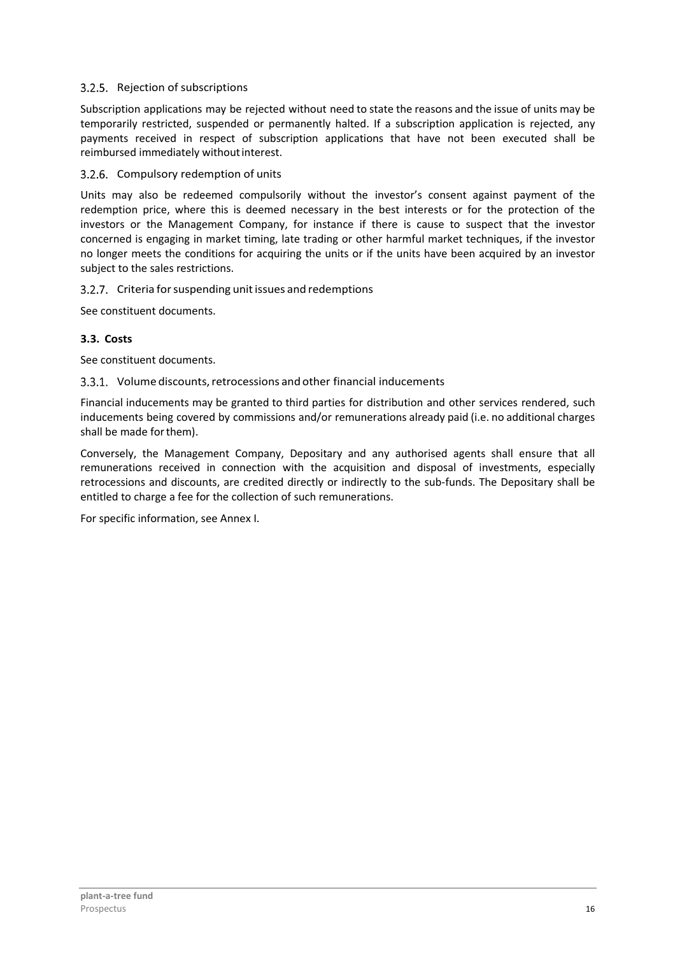# 3.2.5. Rejection of subscriptions

Subscription applications may be rejected without need to state the reasons and the issue of units may be temporarily restricted, suspended or permanently halted. If a subscription application is rejected, any payments received in respect of subscription applications that have not been executed shall be reimbursed immediately without interest.

# 3.2.6. Compulsory redemption of units

Units may also be redeemed compulsorily without the investor's consent against payment of the redemption price, where this is deemed necessary in the best interests or for the protection of the investors or the Management Company, for instance if there is cause to suspect that the investor concerned is engaging in market timing, late trading or other harmful market techniques, if the investor no longer meets the conditions for acquiring the units or if the units have been acquired by an investor subject to the sales restrictions.

# 3.2.7. Criteria for suspending unit issues and redemptions

See constituent documents.

# **3.3. Costs**

See constituent documents.

# Volume discounts, retrocessions and other financial inducements

Financial inducements may be granted to third parties for distribution and other services rendered, such inducements being covered by commissions and/or remunerations already paid (i.e. no additional charges shall be made for them).

Conversely, the Management Company, Depositary and any authorised agents shall ensure that all remunerations received in connection with the acquisition and disposal of investments, especially retrocessions and discounts, are credited directly or indirectly to the sub-funds. The Depositary shall be entitled to charge a fee for the collection of such remunerations.

For specific information, see Annex I.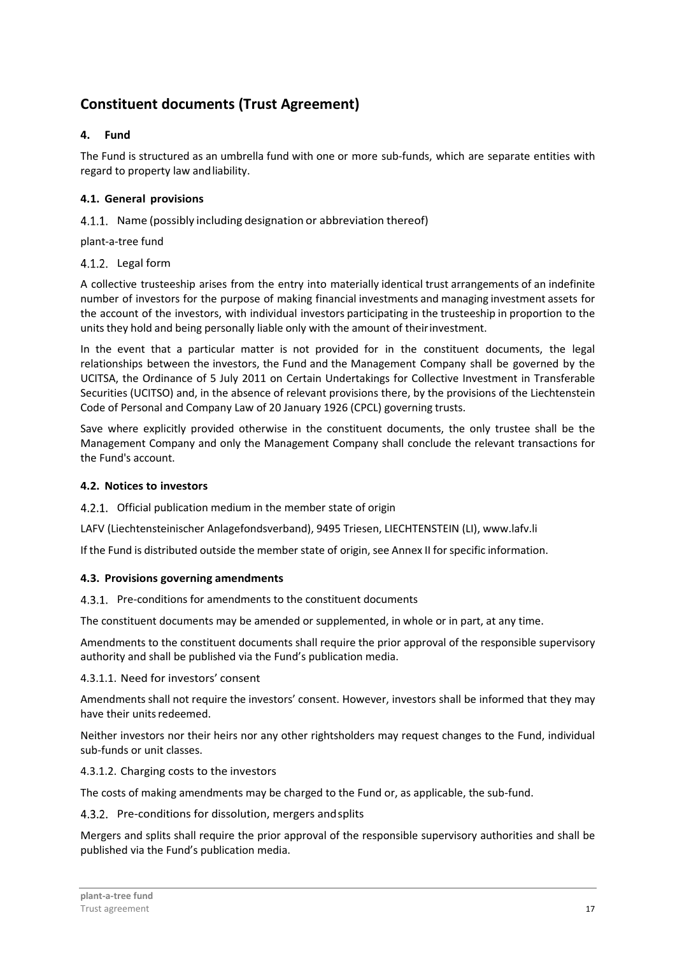# **Constituent documents (Trust Agreement)**

# **4. Fund**

The Fund is structured as an umbrella fund with one or more sub-funds, which are separate entities with regard to property law and liability.

# **4.1. General provisions**

4.1.1. Name (possibly including designation or abbreviation thereof)

plant-a-tree fund

# 4.1.2. Legal form

A collective trusteeship arises from the entry into materially identical trust arrangements of an indefinite number of investors for the purpose of making financial investments and managing investment assets for the account of the investors, with individual investors participating in the trusteeship in proportion to the units they hold and being personally liable only with the amount of their investment.

In the event that a particular matter is not provided for in the constituent documents, the legal relationships between the investors, the Fund and the Management Company shall be governed by the UCITSA, the Ordinance of 5 July 2011 on Certain Undertakings for Collective Investment in Transferable Securities (UCITSO) and, in the absence of relevant provisions there, by the provisions of the Liechtenstein Code of Personal and Company Law of 20 January 1926 (CPCL) governing trusts.

Save where explicitly provided otherwise in the constituent documents, the only trustee shall be the Management Company and only the Management Company shall conclude the relevant transactions for the Fund's account.

# **4.2. Notices to investors**

4.2.1. Official publication medium in the member state of origin

LAFV (Liechtensteinischer Anlagefondsverband), 9495 Triesen, LIECHTENSTEIN (LI), www.lafv.li

If the Fund is distributed outside the member state of origin, see Annex II for specific information.

# **4.3. Provisions governing amendments**

4.3.1. Pre-conditions for amendments to the constituent documents

The constituent documents may be amended or supplemented, in whole or in part, at any time.

Amendments to the constituent documents shall require the prior approval of the responsible supervisory authority and shall be published via the Fund's publication media.

4.3.1.1. Need for investors' consent

Amendments shall not require the investors' consent. However, investors shall be informed that they may have their units redeemed.

Neither investors nor their heirs nor any other rightsholders may request changes to the Fund, individual sub-funds or unit classes.

4.3.1.2. Charging costs to the investors

The costs of making amendments may be charged to the Fund or, as applicable, the sub-fund.

4.3.2. Pre-conditions for dissolution, mergers and splits

Mergers and splits shall require the prior approval of the responsible supervisory authorities and shall be published via the Fund's publication media.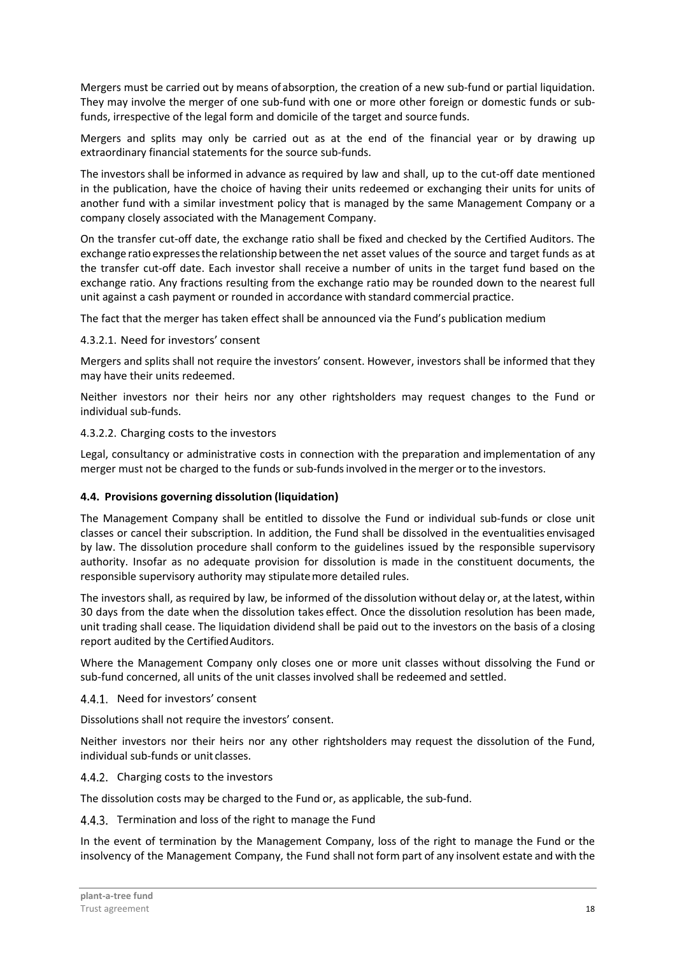Mergers must be carried out by means of absorption, the creation of a new sub-fund or partial liquidation. They may involve the merger of one sub-fund with one or more other foreign or domestic funds or subfunds, irrespective of the legal form and domicile of the target and source funds.

Mergers and splits may only be carried out as at the end of the financial year or by drawing up extraordinary financial statements for the source sub-funds.

The investors shall be informed in advance as required by law and shall, up to the cut-off date mentioned in the publication, have the choice of having their units redeemed or exchanging their units for units of another fund with a similar investment policy that is managed by the same Management Company or a company closely associated with the Management Company.

On the transfer cut-off date, the exchange ratio shall be fixed and checked by the Certified Auditors. The exchange ratio expresses the relationship between the net asset values of the source and target funds as at the transfer cut-off date. Each investor shall receive a number of units in the target fund based on the exchange ratio. Any fractions resulting from the exchange ratio may be rounded down to the nearest full unit against a cash payment or rounded in accordance with standard commercial practice.

The fact that the merger has taken effect shall be announced via the Fund's publication medium

# 4.3.2.1. Need for investors' consent

Mergers and splits shall not require the investors' consent. However, investors shall be informed that they may have their units redeemed.

Neither investors nor their heirs nor any other rightsholders may request changes to the Fund or individual sub-funds.

# 4.3.2.2. Charging costs to the investors

Legal, consultancy or administrative costs in connection with the preparation and implementation of any merger must not be charged to the funds or sub-funds involved in the merger or to the investors.

#### **4.4. Provisions governing dissolution (liquidation)**

The Management Company shall be entitled to dissolve the Fund or individual sub-funds or close unit classes or cancel their subscription. In addition, the Fund shall be dissolved in the eventualities envisaged by law. The dissolution procedure shall conform to the guidelines issued by the responsible supervisory authority. Insofar as no adequate provision for dissolution is made in the constituent documents, the responsible supervisory authority may stipulate more detailed rules.

The investors shall, as required by law, be informed of the dissolution without delay or, at the latest, within 30 days from the date when the dissolution takes effect. Once the dissolution resolution has been made, unit trading shall cease. The liquidation dividend shall be paid out to the investors on the basis of a closing report audited by the Certified Auditors.

Where the Management Company only closes one or more unit classes without dissolving the Fund or sub-fund concerned, all units of the unit classes involved shall be redeemed and settled.

#### 4.4.1. Need for investors' consent

Dissolutions shall not require the investors' consent.

Neither investors nor their heirs nor any other rightsholders may request the dissolution of the Fund, individual sub-funds or unit classes.

#### 4.4.2. Charging costs to the investors

The dissolution costs may be charged to the Fund or, as applicable, the sub-fund.

#### 4.4.3. Termination and loss of the right to manage the Fund

In the event of termination by the Management Company, loss of the right to manage the Fund or the insolvency of the Management Company, the Fund shall not form part of any insolvent estate and with the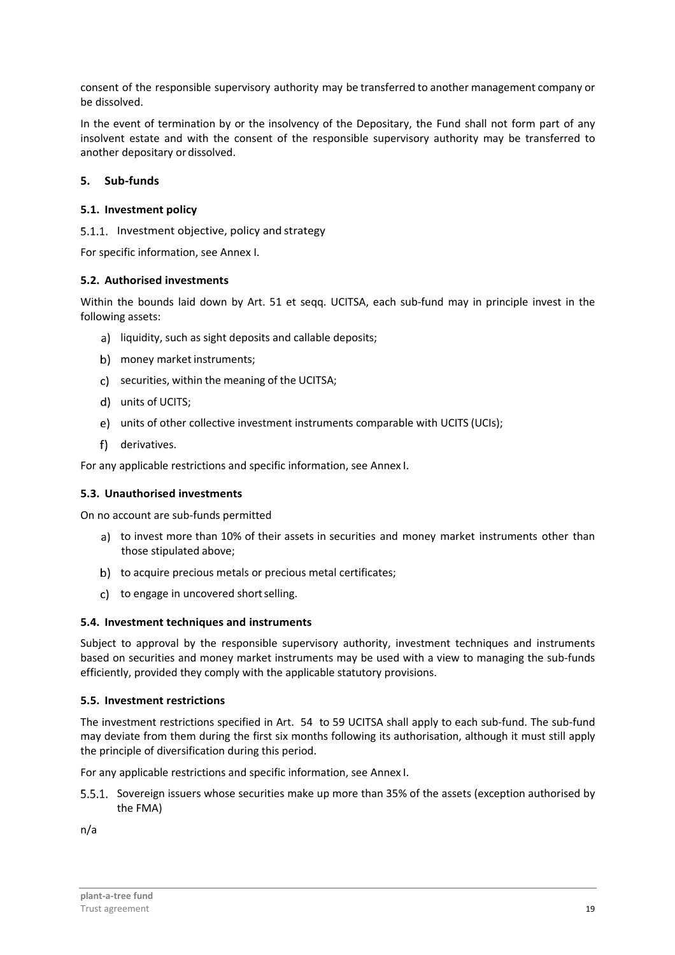consent of the responsible supervisory authority may be transferred to another management company or be dissolved.

In the event of termination by or the insolvency of the Depositary, the Fund shall not form part of any insolvent estate and with the consent of the responsible supervisory authority may be transferred to another depositary or dissolved.

# **5. Sub-funds**

# **5.1. Investment policy**

5.1.1. Investment objective, policy and strategy

For specific information, see Annex I.

# **5.2. Authorised investments**

Within the bounds laid down by Art. 51 et seqq. UCITSA, each sub-fund may in principle invest in the following assets:

- a) liquidity, such as sight deposits and callable deposits;
- b) money market instruments;
- c) securities, within the meaning of the UCITSA;
- units of UCITS;
- units of other collective investment instruments comparable with UCITS (UCIs);
- f) derivatives.

For any applicable restrictions and specific information, see Annex I.

#### **5.3. Unauthorised investments**

On no account are sub-funds permitted

- a) to invest more than 10% of their assets in securities and money market instruments other than those stipulated above;
- b) to acquire precious metals or precious metal certificates;
- c) to engage in uncovered short selling.

#### **5.4. Investment techniques and instruments**

Subject to approval by the responsible supervisory authority, investment techniques and instruments based on securities and money market instruments may be used with a view to managing the sub-funds efficiently, provided they comply with the applicable statutory provisions.

#### **5.5. Investment restrictions**

The investment restrictions specified in Art. 54 to 59 UCITSA shall apply to each sub-fund. The sub-fund may deviate from them during the first six months following its authorisation, although it must still apply the principle of diversification during this period.

For any applicable restrictions and specific information, see Annex I.

5.5.1. Sovereign issuers whose securities make up more than 35% of the assets (exception authorised by the FMA)

n/a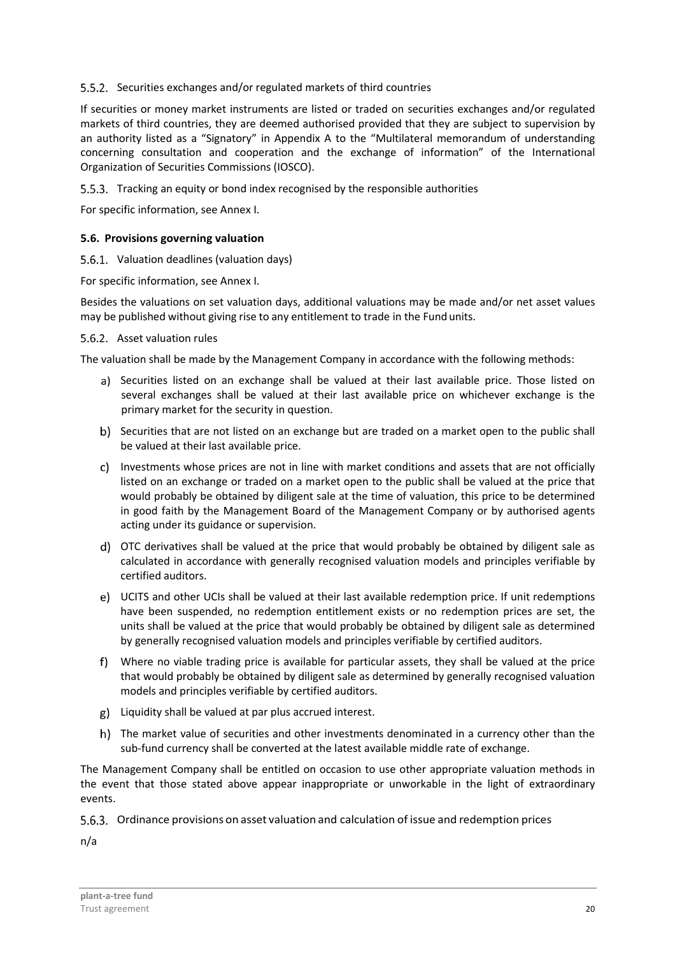# 5.5.2. Securities exchanges and/or regulated markets of third countries

If securities or money market instruments are listed or traded on securities exchanges and/or regulated markets of third countries, they are deemed authorised provided that they are subject to supervision by an authority listed as a "Signatory" in Appendix A to the "Multilateral memorandum of understanding concerning consultation and cooperation and the exchange of information" of the International Organization of Securities Commissions (IOSCO).

5.5.3. Tracking an equity or bond index recognised by the responsible authorities

For specific information, see Annex I.

#### **5.6. Provisions governing valuation**

#### 5.6.1. Valuation deadlines (valuation days)

For specific information, see Annex I.

Besides the valuations on set valuation days, additional valuations may be made and/or net asset values may be published without giving rise to any entitlement to trade in the Fund units.

#### 5.6.2. Asset valuation rules

The valuation shall be made by the Management Company in accordance with the following methods:

- a) Securities listed on an exchange shall be valued at their last available price. Those listed on several exchanges shall be valued at their last available price on whichever exchange is the primary market for the security in question.
- b) Securities that are not listed on an exchange but are traded on a market open to the public shall be valued at their last available price.
- c) Investments whose prices are not in line with market conditions and assets that are not officially listed on an exchange or traded on a market open to the public shall be valued at the price that would probably be obtained by diligent sale at the time of valuation, this price to be determined in good faith by the Management Board of the Management Company or by authorised agents acting under its guidance or supervision.
- OTC derivatives shall be valued at the price that would probably be obtained by diligent sale as calculated in accordance with generally recognised valuation models and principles verifiable by certified auditors.
- UCITS and other UCIs shall be valued at their last available redemption price. If unit redemptions have been suspended, no redemption entitlement exists or no redemption prices are set, the units shall be valued at the price that would probably be obtained by diligent sale as determined by generally recognised valuation models and principles verifiable by certified auditors.
- Where no viable trading price is available for particular assets, they shall be valued at the price that would probably be obtained by diligent sale as determined by generally recognised valuation models and principles verifiable by certified auditors.
- Liquidity shall be valued at par plus accrued interest.
- The market value of securities and other investments denominated in a currency other than the sub-fund currency shall be converted at the latest available middle rate of exchange.

The Management Company shall be entitled on occasion to use other appropriate valuation methods in the event that those stated above appear inappropriate or unworkable in the light of extraordinary events.

5.6.3. Ordinance provisions on asset valuation and calculation of issue and redemption prices

n/a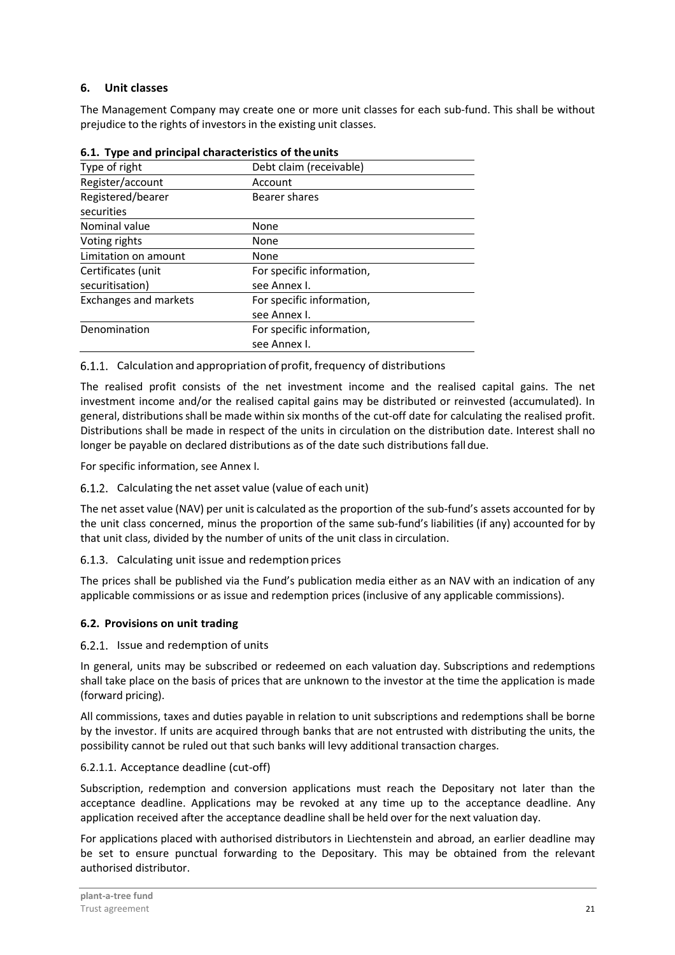# **6. Unit classes**

The Management Company may create one or more unit classes for each sub-fund. This shall be without prejudice to the rights of investors in the existing unit classes.

| 0.1. Type and principal characteristics of the differ |                           |  |
|-------------------------------------------------------|---------------------------|--|
| Type of right                                         | Debt claim (receivable)   |  |
| Register/account                                      | Account                   |  |
| Registered/bearer                                     | Bearer shares             |  |
| securities                                            |                           |  |
| Nominal value                                         | None                      |  |
| Voting rights                                         | None                      |  |
| Limitation on amount                                  | None                      |  |
| Certificates (unit                                    | For specific information, |  |
| securitisation)                                       | see Annex I.              |  |
| <b>Exchanges and markets</b>                          | For specific information, |  |
|                                                       | see Annex I.              |  |
| Denomination                                          | For specific information, |  |
|                                                       | see Annex I.              |  |
|                                                       |                           |  |

# **6.1. Type and principal characteristics of the units**

#### 6.1.1. Calculation and appropriation of profit, frequency of distributions

The realised profit consists of the net investment income and the realised capital gains. The net investment income and/or the realised capital gains may be distributed or reinvested (accumulated). In general, distributions shall be made within six months of the cut-off date for calculating the realised profit. Distributions shall be made in respect of the units in circulation on the distribution date. Interest shall no longer be payable on declared distributions as of the date such distributions fall due.

For specific information, see Annex I.

# 6.1.2. Calculating the net asset value (value of each unit)

The net asset value (NAV) per unit is calculated as the proportion of the sub-fund's assets accounted for by the unit class concerned, minus the proportion of the same sub-fund's liabilities (if any) accounted for by that unit class, divided by the number of units of the unit class in circulation.

#### 6.1.3. Calculating unit issue and redemption prices

The prices shall be published via the Fund's publication media either as an NAV with an indication of any applicable commissions or as issue and redemption prices (inclusive of any applicable commissions).

# **6.2. Provisions on unit trading**

#### 6.2.1. Issue and redemption of units

In general, units may be subscribed or redeemed on each valuation day. Subscriptions and redemptions shall take place on the basis of prices that are unknown to the investor at the time the application is made (forward pricing).

All commissions, taxes and duties payable in relation to unit subscriptions and redemptions shall be borne by the investor. If units are acquired through banks that are not entrusted with distributing the units, the possibility cannot be ruled out that such banks will levy additional transaction charges.

#### 6.2.1.1. Acceptance deadline (cut-off)

Subscription, redemption and conversion applications must reach the Depositary not later than the acceptance deadline. Applications may be revoked at any time up to the acceptance deadline. Any application received after the acceptance deadline shall be held over for the next valuation day.

For applications placed with authorised distributors in Liechtenstein and abroad, an earlier deadline may be set to ensure punctual forwarding to the Depositary. This may be obtained from the relevant authorised distributor.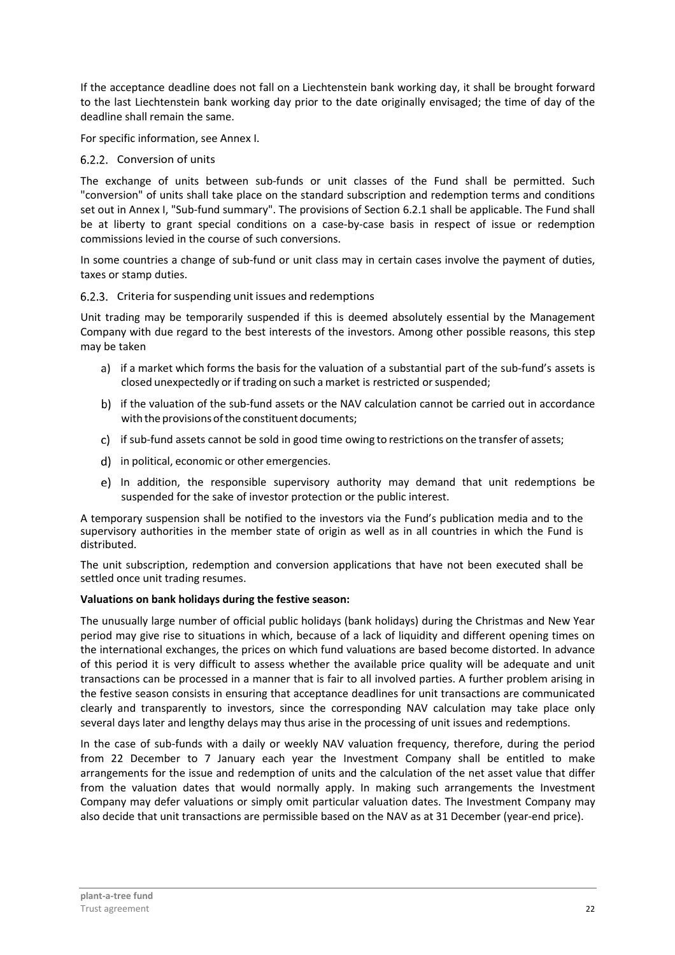If the acceptance deadline does not fall on a Liechtenstein bank working day, it shall be brought forward to the last Liechtenstein bank working day prior to the date originally envisaged; the time of day of the deadline shall remain the same.

For specific information, see Annex I.

# 6.2.2. Conversion of units

The exchange of units between sub-funds or unit classes of the Fund shall be permitted. Such "conversion" of units shall take place on the standard subscription and redemption terms and conditions set out in Annex I, "Sub-fund summary". The provisions of Section 6.2.1 shall be applicable. The Fund shall be at liberty to grant special conditions on a case-by-case basis in respect of issue or redemption commissions levied in the course of such conversions.

In some countries a change of sub-fund or unit class may in certain cases involve the payment of duties, taxes or stamp duties.

# 6.2.3. Criteria for suspending unit issues and redemptions

Unit trading may be temporarily suspended if this is deemed absolutely essential by the Management Company with due regard to the best interests of the investors. Among other possible reasons, this step may be taken

- a) if a market which forms the basis for the valuation of a substantial part of the sub-fund's assets is closed unexpectedly or if trading on such a market is restricted or suspended;
- b) if the valuation of the sub-fund assets or the NAV calculation cannot be carried out in accordance with the provisions of the constituent documents;
- c) if sub-fund assets cannot be sold in good time owing to restrictions on the transfer of assets;
- d) in political, economic or other emergencies.
- e) In addition, the responsible supervisory authority may demand that unit redemptions be suspended for the sake of investor protection or the public interest.

A temporary suspension shall be notified to the investors via the Fund's publication media and to the supervisory authorities in the member state of origin as well as in all countries in which the Fund is distributed.

The unit subscription, redemption and conversion applications that have not been executed shall be settled once unit trading resumes.

# **Valuations on bank holidays during the festive season:**

The unusually large number of official public holidays (bank holidays) during the Christmas and New Year period may give rise to situations in which, because of a lack of liquidity and different opening times on the international exchanges, the prices on which fund valuations are based become distorted. In advance of this period it is very difficult to assess whether the available price quality will be adequate and unit transactions can be processed in a manner that is fair to all involved parties. A further problem arising in the festive season consists in ensuring that acceptance deadlines for unit transactions are communicated clearly and transparently to investors, since the corresponding NAV calculation may take place only several days later and lengthy delays may thus arise in the processing of unit issues and redemptions.

In the case of sub-funds with a daily or weekly NAV valuation frequency, therefore, during the period from 22 December to 7 January each year the Investment Company shall be entitled to make arrangements for the issue and redemption of units and the calculation of the net asset value that differ from the valuation dates that would normally apply. In making such arrangements the Investment Company may defer valuations or simply omit particular valuation dates. The Investment Company may also decide that unit transactions are permissible based on the NAV as at 31 December (year-end price).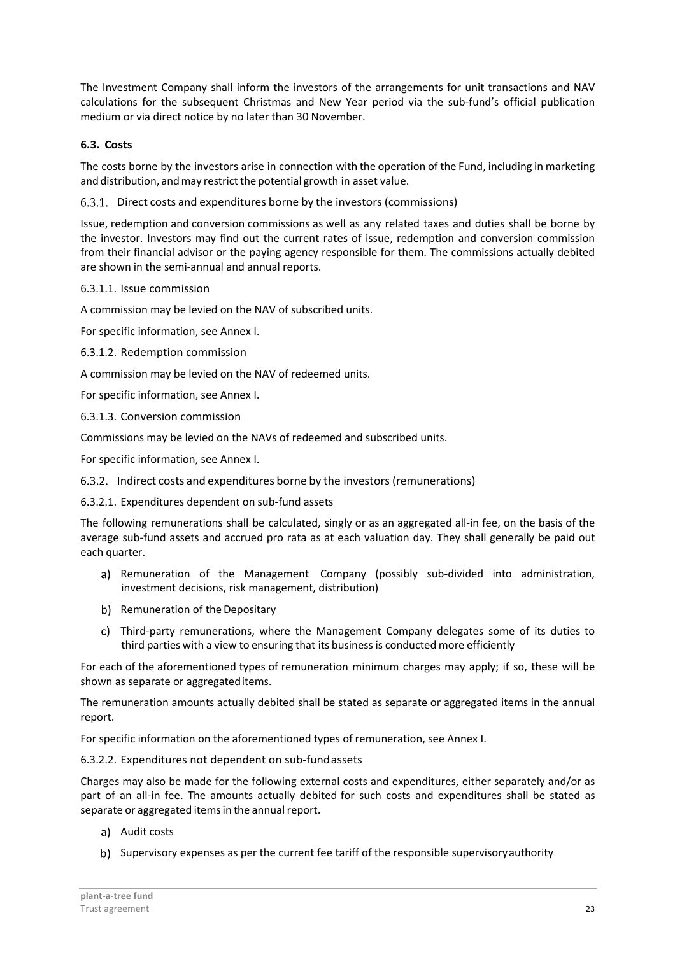The Investment Company shall inform the investors of the arrangements for unit transactions and NAV calculations for the subsequent Christmas and New Year period via the sub-fund's official publication medium or via direct notice by no later than 30 November.

# **6.3. Costs**

The costs borne by the investors arise in connection with the operation of the Fund, including in marketing and distribution, and may restrict the potential growth in asset value.

6.3.1. Direct costs and expenditures borne by the investors (commissions)

Issue, redemption and conversion commissions as well as any related taxes and duties shall be borne by the investor. Investors may find out the current rates of issue, redemption and conversion commission from their financial advisor or the paying agency responsible for them. The commissions actually debited are shown in the semi-annual and annual reports.

# 6.3.1.1. Issue commission

A commission may be levied on the NAV of subscribed units.

For specific information, see Annex I.

6.3.1.2. Redemption commission

A commission may be levied on the NAV of redeemed units.

For specific information, see Annex I.

6.3.1.3. Conversion commission

Commissions may be levied on the NAVs of redeemed and subscribed units.

For specific information, see Annex I.

Indirect costs and expenditures borne by the investors (remunerations)

6.3.2.1. Expenditures dependent on sub-fund assets

The following remunerations shall be calculated, singly or as an aggregated all-in fee, on the basis of the average sub-fund assets and accrued pro rata as at each valuation day. They shall generally be paid out each quarter.

- a) Remuneration of the Management Company (possibly sub-divided into administration, investment decisions, risk management, distribution)
- b) Remuneration of the Depositary
- Third-party remunerations, where the Management Company delegates some of its duties to third parties with a view to ensuring that its business is conducted more efficiently

For each of the aforementioned types of remuneration minimum charges may apply; if so, these will be shown as separate or aggregated items.

The remuneration amounts actually debited shall be stated as separate or aggregated items in the annual report.

For specific information on the aforementioned types of remuneration, see Annex I.

6.3.2.2. Expenditures not dependent on sub-fund assets

Charges may also be made for the following external costs and expenditures, either separately and/or as part of an all-in fee. The amounts actually debited for such costs and expenditures shall be stated as separate or aggregated items in the annual report.

- a) Audit costs
- b) Supervisory expenses as per the current fee tariff of the responsible supervisory authority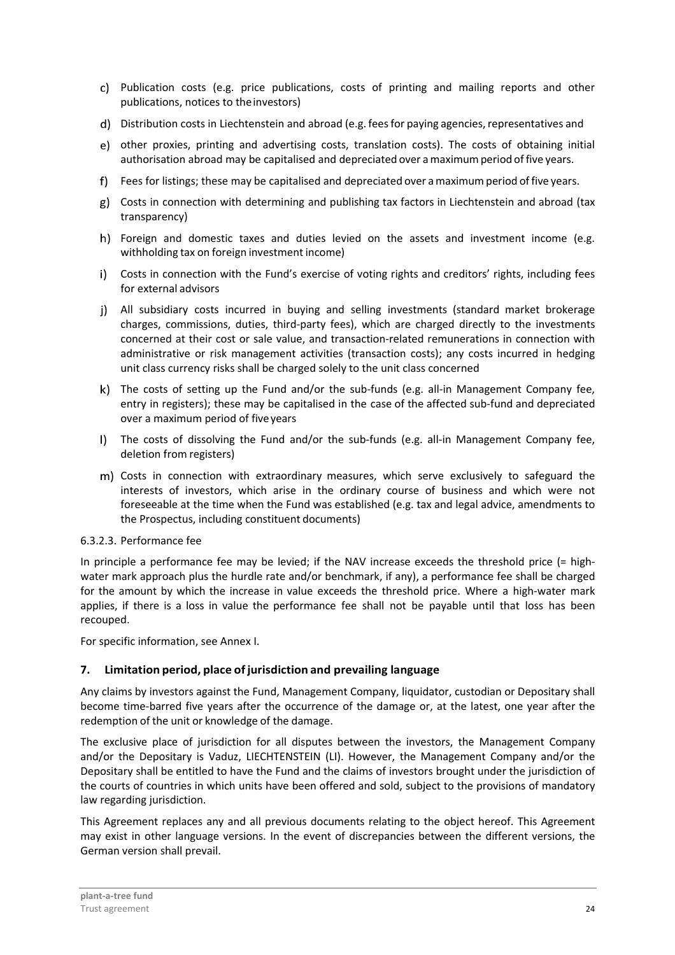- Publication costs (e.g. price publications, costs of printing and mailing reports and other publications, notices to the investors)
- Distribution costs in Liechtenstein and abroad (e.g. fees for paying agencies, representatives and
- other proxies, printing and advertising costs, translation costs). The costs of obtaining initial authorisation abroad may be capitalised and depreciated over a maximum period of five years.
- Fees for listings; these may be capitalised and depreciated over a maximum period of five years.
- Costs in connection with determining and publishing tax factors in Liechtenstein and abroad (tax transparency)
- h) Foreign and domestic taxes and duties levied on the assets and investment income (e.g. withholding tax on foreign investment income)
- i) Costs in connection with the Fund's exercise of voting rights and creditors' rights, including fees for external advisors
- All subsidiary costs incurred in buying and selling investments (standard market brokerage charges, commissions, duties, third-party fees), which are charged directly to the investments concerned at their cost or sale value, and transaction-related remunerations in connection with administrative or risk management activities (transaction costs); any costs incurred in hedging unit class currency risks shall be charged solely to the unit class concerned
- The costs of setting up the Fund and/or the sub-funds (e.g. all-in Management Company fee, entry in registers); these may be capitalised in the case of the affected sub-fund and depreciated over a maximum period of five years
- The costs of dissolving the Fund and/or the sub-funds (e.g. all-in Management Company fee, deletion from registers)
- m) Costs in connection with extraordinary measures, which serve exclusively to safeguard the interests of investors, which arise in the ordinary course of business and which were not foreseeable at the time when the Fund was established (e.g. tax and legal advice, amendments to the Prospectus, including constituent documents)
- 6.3.2.3. Performance fee

In principle a performance fee may be levied; if the NAV increase exceeds the threshold price (= highwater mark approach plus the hurdle rate and/or benchmark, if any), a performance fee shall be charged for the amount by which the increase in value exceeds the threshold price. Where a high-water mark applies, if there is a loss in value the performance fee shall not be payable until that loss has been recouped.

For specific information, see Annex I.

# **7. Limitation period, place of jurisdiction and prevailing language**

Any claims by investors against the Fund, Management Company, liquidator, custodian or Depositary shall become time-barred five years after the occurrence of the damage or, at the latest, one year after the redemption of the unit or knowledge of the damage.

The exclusive place of jurisdiction for all disputes between the investors, the Management Company and/or the Depositary is Vaduz, LIECHTENSTEIN (LI). However, the Management Company and/or the Depositary shall be entitled to have the Fund and the claims of investors brought under the jurisdiction of the courts of countries in which units have been offered and sold, subject to the provisions of mandatory law regarding jurisdiction.

This Agreement replaces any and all previous documents relating to the object hereof. This Agreement may exist in other language versions. In the event of discrepancies between the different versions, the German version shall prevail.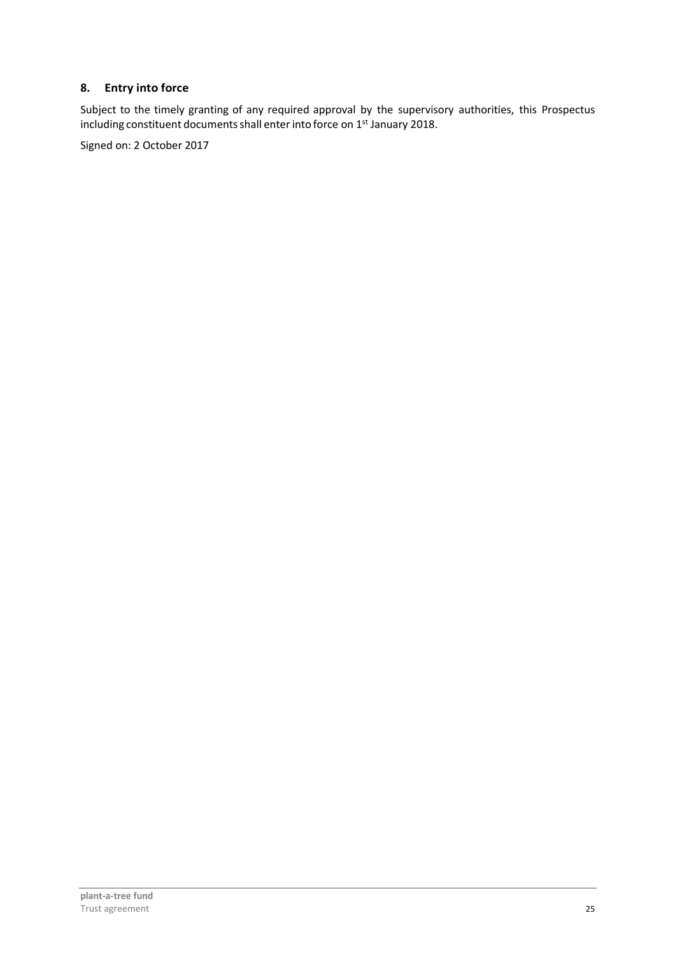# **8. Entry into force**

Subject to the timely granting of any required approval by the supervisory authorities, this Prospectus including constituent documents shall enter into force on 1st January 2018.

Signed on: 2 October 2017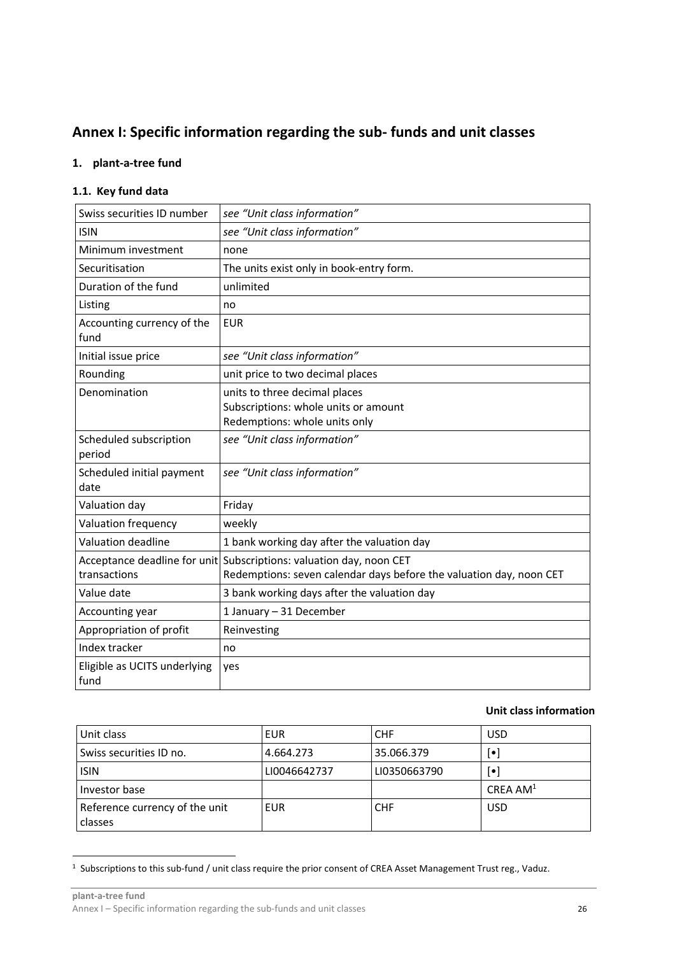# **Annex I: Specific information regarding the sub- funds and unit classes**

#### **1. plant-a-tree fund**

# **1.1. Key fund data**

| Swiss securities ID number           | see "Unit class information"                                                                                                               |
|--------------------------------------|--------------------------------------------------------------------------------------------------------------------------------------------|
| <b>ISIN</b>                          | see "Unit class information"                                                                                                               |
| Minimum investment                   | none                                                                                                                                       |
| Securitisation                       | The units exist only in book-entry form.                                                                                                   |
| Duration of the fund                 | unlimited                                                                                                                                  |
| Listing                              | no                                                                                                                                         |
| Accounting currency of the<br>fund   | <b>EUR</b>                                                                                                                                 |
| Initial issue price                  | see "Unit class information"                                                                                                               |
| Rounding                             | unit price to two decimal places                                                                                                           |
| Denomination                         | units to three decimal places<br>Subscriptions: whole units or amount<br>Redemptions: whole units only                                     |
| Scheduled subscription<br>period     | see "Unit class information"                                                                                                               |
| Scheduled initial payment<br>date    | see "Unit class information"                                                                                                               |
| Valuation day                        | Friday                                                                                                                                     |
| Valuation frequency                  | weekly                                                                                                                                     |
| Valuation deadline                   | 1 bank working day after the valuation day                                                                                                 |
| transactions                         | Acceptance deadline for unit Subscriptions: valuation day, noon CET<br>Redemptions: seven calendar days before the valuation day, noon CET |
| Value date                           | 3 bank working days after the valuation day                                                                                                |
| Accounting year                      | 1 January - 31 December                                                                                                                    |
| Appropriation of profit              | Reinvesting                                                                                                                                |
| Index tracker                        | no                                                                                                                                         |
| Eligible as UCITS underlying<br>fund | yes                                                                                                                                        |

#### **Unit class information**

| Unit class                                | EUR          | <b>CHF</b>   | <b>USD</b>              |
|-------------------------------------------|--------------|--------------|-------------------------|
| Swiss securities ID no.                   | 4.664.273    | 35.066.379   | $[\bullet]$             |
| <b>ISIN</b>                               | LI0046642737 | LI0350663790 | $\lceil \bullet \rceil$ |
| Investor base                             |              |              | CREA AM <sup>1</sup>    |
| Reference currency of the unit<br>classes | EUR          | <b>CHF</b>   | <b>USD</b>              |

<sup>&</sup>lt;sup>1</sup> Subscriptions to this sub-fund / unit class require the prior consent of CREA Asset Management Trust reg., Vaduz.

 $\overline{a}$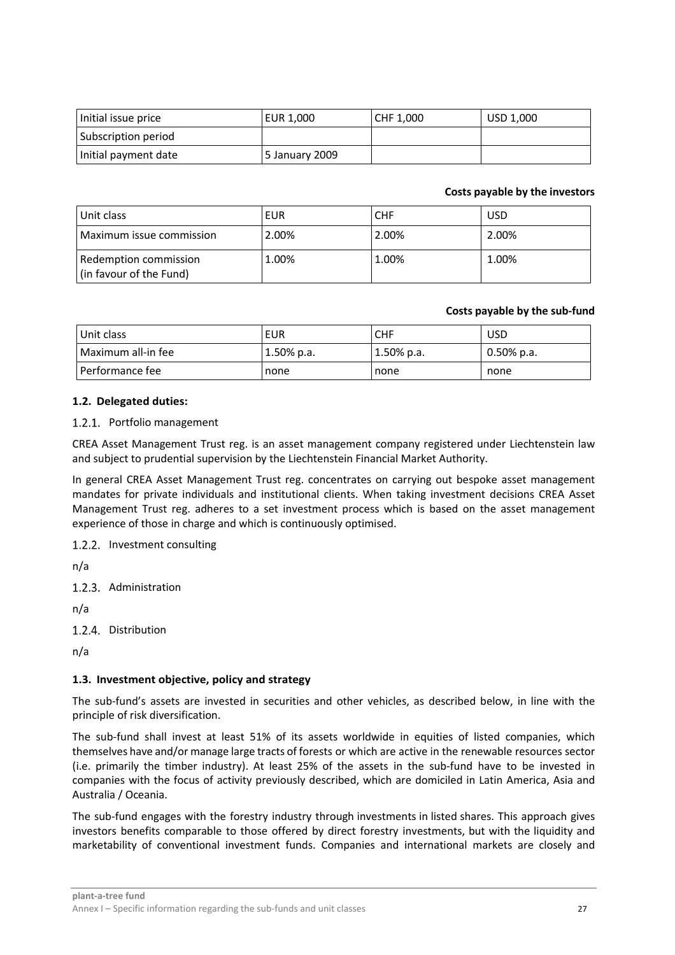| Initial issue price  | EUR 1,000      | CHF 1,000 | USD 1,000 |
|----------------------|----------------|-----------|-----------|
| Subscription period  |                |           |           |
| Initial payment date | 5 January 2009 |           |           |

#### **Costs payable by the investors**

| Unit class                                       | EUR   | <b>CHF</b> | <b>USD</b> |
|--------------------------------------------------|-------|------------|------------|
| Maximum issue commission                         | 2.00% | 2.00%      | 2.00%      |
| Redemption commission<br>(in favour of the Fund) | 1.00% | 1.00%      | 1.00%      |

#### **Costs payable by the sub-fund**

| Unit class           | EUR           | <b>CHF</b>    | <b>USD</b>    |
|----------------------|---------------|---------------|---------------|
| l Maximum all-in fee | $1.50\%$ p.a. | $1.50\%$ p.a. | $0.50\%$ p.a. |
| l Performance fee    | none          | <b>none</b>   | none          |

#### **1.2. Delegated duties:**

#### 1.2.1. Portfolio management

CREA Asset Management Trust reg. is an asset management company registered under Liechtenstein law and subject to prudential supervision by the Liechtenstein Financial Market Authority.

In general CREA Asset Management Trust reg. concentrates on carrying out bespoke asset management mandates for private individuals and institutional clients. When taking investment decisions CREA Asset Management Trust reg. adheres to a set investment process which is based on the asset management experience of those in charge and which is continuously optimised.

1.2.2. Investment consulting

n/a

1.2.3. Administration

n/a

1.2.4. Distribution

n/a

#### **1.3. Investment objective, policy and strategy**

The sub-fund's assets are invested in securities and other vehicles, as described below, in line with the principle of risk diversification.

The sub-fund shall invest at least 51% of its assets worldwide in equities of listed companies, which themselves have and/or manage large tracts of forests or which are active in the renewable resources sector (i.e. primarily the timber industry). At least 25% of the assets in the sub-fund have to be invested in companies with the focus of activity previously described, which are domiciled in Latin America, Asia and Australia / Oceania.

The sub-fund engages with the forestry industry through investments in listed shares. This approach gives investors benefits comparable to those offered by direct forestry investments, but with the liquidity and marketability of conventional investment funds. Companies and international markets are closely and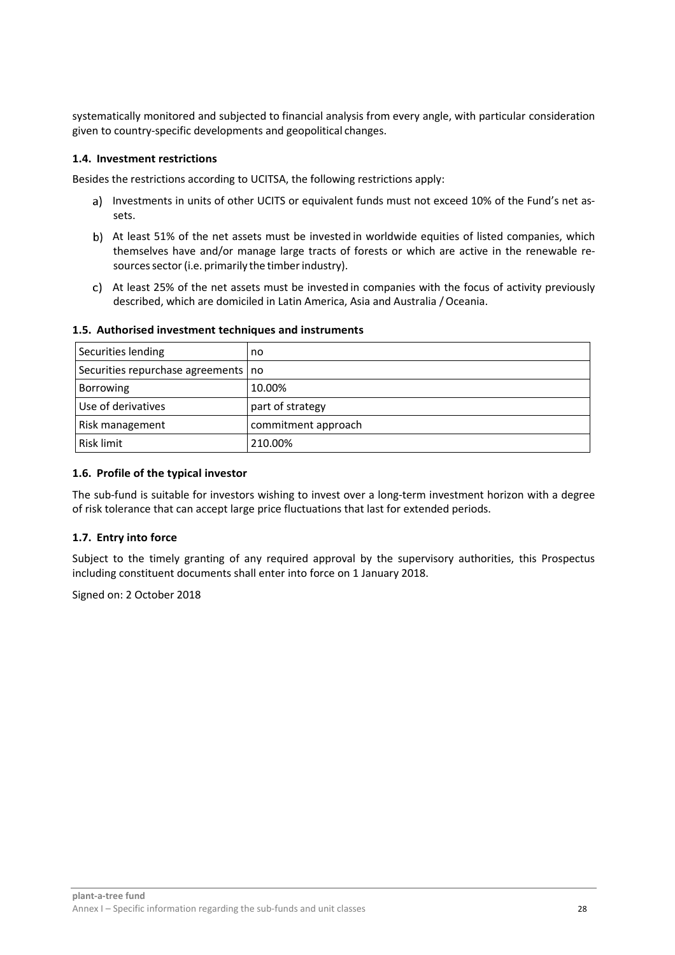systematically monitored and subjected to financial analysis from every angle, with particular consideration given to country-specific developments and geopolitical changes.

#### **1.4. Investment restrictions**

Besides the restrictions according to UCITSA, the following restrictions apply:

- a) Investments in units of other UCITS or equivalent funds must not exceed 10% of the Fund's net assets.
- b) At least 51% of the net assets must be invested in worldwide equities of listed companies, which themselves have and/or manage large tracts of forests or which are active in the renewable resources sector (i.e. primarily the timber industry).
- At least 25% of the net assets must be invested in companies with the focus of activity previously described, which are domiciled in Latin America, Asia and Australia / Oceania.

| Securities lending                    | no                  |
|---------------------------------------|---------------------|
| Securities repurchase agreements   no |                     |
| <b>Borrowing</b>                      | 10.00%              |
| Use of derivatives                    | part of strategy    |
| Risk management                       | commitment approach |
| Risk limit                            | 210.00%             |

#### **1.5. Authorised investment techniques and instruments**

#### **1.6. Profile of the typical investor**

The sub-fund is suitable for investors wishing to invest over a long-term investment horizon with a degree of risk tolerance that can accept large price fluctuations that last for extended periods.

#### **1.7. Entry into force**

Subject to the timely granting of any required approval by the supervisory authorities, this Prospectus including constituent documents shall enter into force on 1 January 2018.

Signed on: 2 October 2018